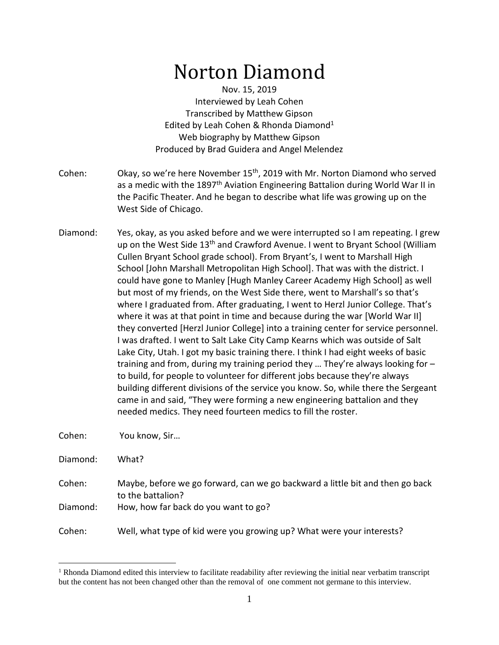# Norton Diamond

Nov. 15, 2019 Interviewed by Leah Cohen Transcribed by Matthew Gipson Edited by Leah Cohen & Rhonda Diamond<sup>1</sup> Web biography by Matthew Gipson Produced by Brad Guidera and Angel Melendez

- Cohen: Okay, so we're here November 15<sup>th</sup>, 2019 with Mr. Norton Diamond who served as a medic with the 1897<sup>th</sup> Aviation Engineering Battalion during World War II in the Pacific Theater. And he began to describe what life was growing up on the West Side of Chicago.
- Diamond: Yes, okay, as you asked before and we were interrupted so I am repeating. I grew up on the West Side 13<sup>th</sup> and Crawford Avenue. I went to Bryant School (William Cullen Bryant School grade school). From Bryant's, I went to Marshall High School [John Marshall Metropolitan High School]. That was with the district. I could have gone to Manley [Hugh Manley Career Academy High School] as well but most of my friends, on the West Side there, went to Marshall's so that's where I graduated from. After graduating, I went to Herzl Junior College. That's where it was at that point in time and because during the war [World War II] they converted [Herzl Junior College] into a training center for service personnel. I was drafted. I went to Salt Lake City Camp Kearns which was outside of Salt Lake City, Utah. I got my basic training there. I think I had eight weeks of basic training and from, during my training period they … They're always looking for – to build, for people to volunteer for different jobs because they're always building different divisions of the service you know. So, while there the Sergeant came in and said, "They were forming a new engineering battalion and they needed medics. They need fourteen medics to fill the roster.

Cohen: You know, Sir…

Diamond: What?

- Cohen: Maybe, before we go forward, can we go backward a little bit and then go back to the battalion?
- Diamond: How, how far back do you want to go?

Cohen: Well, what type of kid were you growing up? What were your interests?

<sup>&</sup>lt;sup>1</sup> Rhonda Diamond edited this interview to facilitate readability after reviewing the initial near verbatim transcript but the content has not been changed other than the removal of one comment not germane to this interview.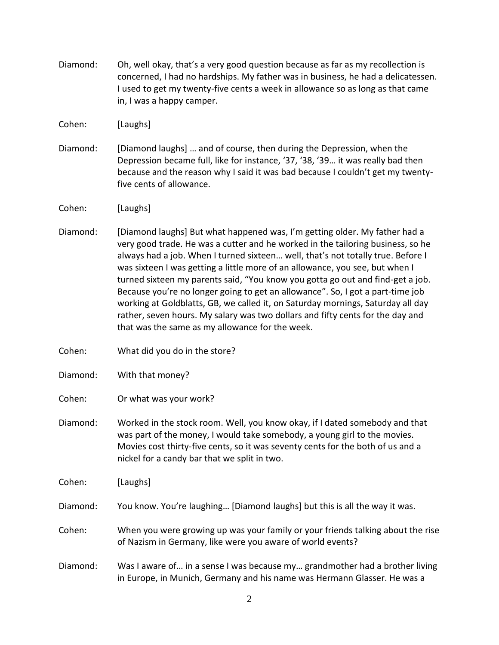Diamond: Oh, well okay, that's a very good question because as far as my recollection is concerned, I had no hardships. My father was in business, he had a delicatessen. I used to get my twenty-five cents a week in allowance so as long as that came in, I was a happy camper.

Cohen: [Laughs]

- Diamond: [Diamond laughs] … and of course, then during the Depression, when the Depression became full, like for instance, '37, '38, '39… it was really bad then because and the reason why I said it was bad because I couldn't get my twentyfive cents of allowance.
- Cohen: [Laughs]
- Diamond: [Diamond laughs] But what happened was, I'm getting older. My father had a very good trade. He was a cutter and he worked in the tailoring business, so he always had a job. When I turned sixteen… well, that's not totally true. Before I was sixteen I was getting a little more of an allowance, you see, but when I turned sixteen my parents said, "You know you gotta go out and find-get a job. Because you're no longer going to get an allowance". So, I got a part-time job working at Goldblatts, GB, we called it, on Saturday mornings, Saturday all day rather, seven hours. My salary was two dollars and fifty cents for the day and that was the same as my allowance for the week.
- Cohen: What did you do in the store?

Diamond: With that money?

Cohen: Or what was your work?

Diamond: Worked in the stock room. Well, you know okay, if I dated somebody and that was part of the money, I would take somebody, a young girl to the movies. Movies cost thirty-five cents, so it was seventy cents for the both of us and a nickel for a candy bar that we split in two.

Cohen: [Laughs]

Diamond: You know. You're laughing… [Diamond laughs] but this is all the way it was.

- Cohen: When you were growing up was your family or your friends talking about the rise of Nazism in Germany, like were you aware of world events?
- Diamond: Was I aware of… in a sense I was because my… grandmother had a brother living in Europe, in Munich, Germany and his name was Hermann Glasser. He was a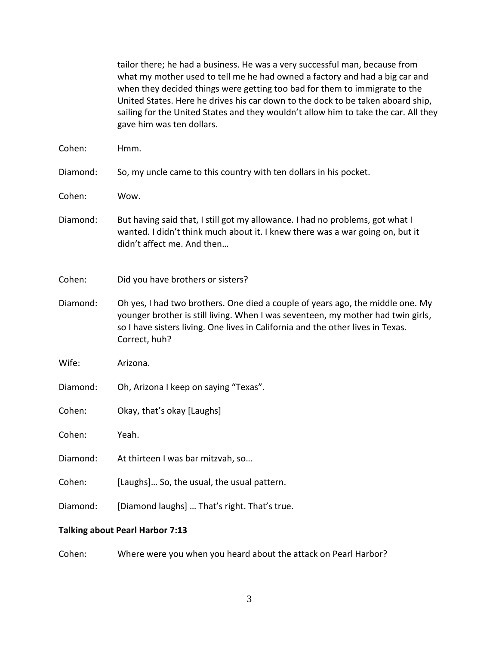|                                        | tailor there; he had a business. He was a very successful man, because from<br>what my mother used to tell me he had owned a factory and had a big car and                                                                                                                        |  |
|----------------------------------------|-----------------------------------------------------------------------------------------------------------------------------------------------------------------------------------------------------------------------------------------------------------------------------------|--|
|                                        | when they decided things were getting too bad for them to immigrate to the<br>United States. Here he drives his car down to the dock to be taken aboard ship,<br>sailing for the United States and they wouldn't allow him to take the car. All they<br>gave him was ten dollars. |  |
| Cohen:                                 | Hmm.                                                                                                                                                                                                                                                                              |  |
| Diamond:                               | So, my uncle came to this country with ten dollars in his pocket.                                                                                                                                                                                                                 |  |
| Cohen:                                 | Wow.                                                                                                                                                                                                                                                                              |  |
| Diamond:                               | But having said that, I still got my allowance. I had no problems, got what I<br>wanted. I didn't think much about it. I knew there was a war going on, but it<br>didn't affect me. And then                                                                                      |  |
| Cohen:                                 | Did you have brothers or sisters?                                                                                                                                                                                                                                                 |  |
| Diamond:                               | Oh yes, I had two brothers. One died a couple of years ago, the middle one. My<br>younger brother is still living. When I was seventeen, my mother had twin girls,<br>so I have sisters living. One lives in California and the other lives in Texas.<br>Correct, huh?            |  |
| Wife:                                  | Arizona.                                                                                                                                                                                                                                                                          |  |
| Diamond:                               | Oh, Arizona I keep on saying "Texas".                                                                                                                                                                                                                                             |  |
| Cohen:                                 | Okay, that's okay [Laughs]                                                                                                                                                                                                                                                        |  |
| Cohen:                                 | Yeah.                                                                                                                                                                                                                                                                             |  |
| Diamond:                               | At thirteen I was bar mitzvah, so                                                                                                                                                                                                                                                 |  |
| Cohen:                                 | [Laughs] So, the usual, the usual pattern.                                                                                                                                                                                                                                        |  |
| Diamond:                               | [Diamond laughs]  That's right. That's true.                                                                                                                                                                                                                                      |  |
| <b>Talking about Pearl Harbor 7:13</b> |                                                                                                                                                                                                                                                                                   |  |

Cohen: Where were you when you heard about the attack on Pearl Harbor?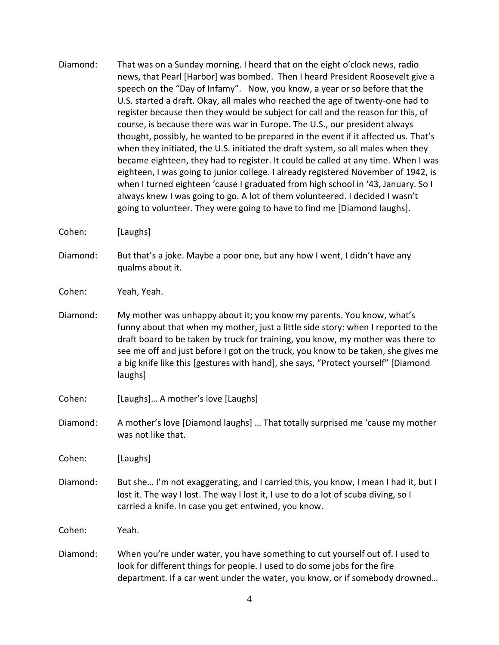- Diamond: That was on a Sunday morning. I heard that on the eight o'clock news, radio news, that Pearl [Harbor] was bombed. Then I heard President Roosevelt give a speech on the "Day of Infamy". Now, you know, a year or so before that the U.S. started a draft. Okay, all males who reached the age of twenty-one had to register because then they would be subject for call and the reason for this, of course, is because there was war in Europe. The U.S., our president always thought, possibly, he wanted to be prepared in the event if it affected us. That's when they initiated, the U.S. initiated the draft system, so all males when they became eighteen, they had to register. It could be called at any time. When I was eighteen, I was going to junior college. I already registered November of 1942, is when I turned eighteen 'cause I graduated from high school in '43, January. So I always knew I was going to go. A lot of them volunteered. I decided I wasn't going to volunteer. They were going to have to find me [Diamond laughs].
- Cohen: [Laughs]
- Diamond: But that's a joke. Maybe a poor one, but any how I went, I didn't have any qualms about it.
- Cohen: Yeah, Yeah.
- Diamond: My mother was unhappy about it; you know my parents. You know, what's funny about that when my mother, just a little side story: when I reported to the draft board to be taken by truck for training, you know, my mother was there to see me off and just before I got on the truck, you know to be taken, she gives me a big knife like this [gestures with hand], she says, "Protect yourself" [Diamond laughs]
- Cohen: [Laughs]… A mother's love [Laughs]
- Diamond: A mother's love [Diamond laughs] … That totally surprised me 'cause my mother was not like that.

Cohen: [Laughs]

Diamond: But she… I'm not exaggerating, and I carried this, you know, I mean I had it, but I lost it. The way I lost. The way I lost it, I use to do a lot of scuba diving, so I carried a knife. In case you get entwined, you know.

Cohen: Yeah.

Diamond: When you're under water, you have something to cut yourself out of. I used to look for different things for people. I used to do some jobs for the fire department. If a car went under the water, you know, or if somebody drowned…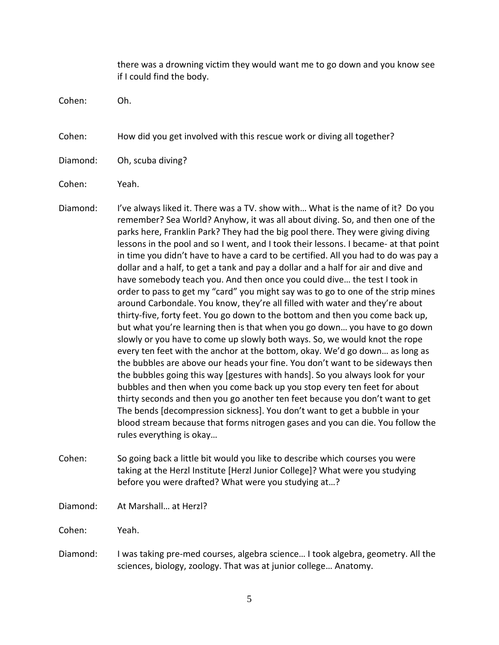there was a drowning victim they would want me to go down and you know see if I could find the body.

Cohen: Oh.

Cohen: How did you get involved with this rescue work or diving all together?

Diamond: Oh, scuba diving?

Cohen: Yeah.

Diamond: I've always liked it. There was a TV. show with… What is the name of it? Do you remember? Sea World? Anyhow, it was all about diving. So, and then one of the parks here, Franklin Park? They had the big pool there. They were giving diving lessons in the pool and so I went, and I took their lessons. I became- at that point in time you didn't have to have a card to be certified. All you had to do was pay a dollar and a half, to get a tank and pay a dollar and a half for air and dive and have somebody teach you. And then once you could dive… the test I took in order to pass to get my "card" you might say was to go to one of the strip mines around Carbondale. You know, they're all filled with water and they're about thirty-five, forty feet. You go down to the bottom and then you come back up, but what you're learning then is that when you go down… you have to go down slowly or you have to come up slowly both ways. So, we would knot the rope every ten feet with the anchor at the bottom, okay. We'd go down… as long as the bubbles are above our heads your fine. You don't want to be sideways then the bubbles going this way [gestures with hands]. So you always look for your bubbles and then when you come back up you stop every ten feet for about thirty seconds and then you go another ten feet because you don't want to get The bends [decompression sickness]. You don't want to get a bubble in your blood stream because that forms nitrogen gases and you can die. You follow the rules everything is okay…

Cohen: So going back a little bit would you like to describe which courses you were taking at the Herzl Institute [Herzl Junior College]? What were you studying before you were drafted? What were you studying at…?

Diamond: At Marshall… at Herzl?

Cohen: Yeah.

Diamond: I was taking pre-med courses, algebra science… I took algebra, geometry. All the sciences, biology, zoology. That was at junior college… Anatomy.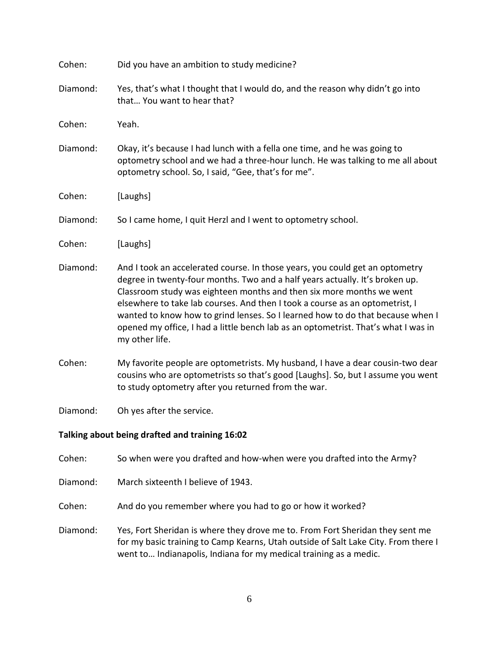| Cohen:                                         | Did you have an ambition to study medicine?                                                                                                                                                                                                                                                                                                                                                                                                                                                                    |
|------------------------------------------------|----------------------------------------------------------------------------------------------------------------------------------------------------------------------------------------------------------------------------------------------------------------------------------------------------------------------------------------------------------------------------------------------------------------------------------------------------------------------------------------------------------------|
| Diamond:                                       | Yes, that's what I thought that I would do, and the reason why didn't go into<br>that You want to hear that?                                                                                                                                                                                                                                                                                                                                                                                                   |
| Cohen:                                         | Yeah.                                                                                                                                                                                                                                                                                                                                                                                                                                                                                                          |
| Diamond:                                       | Okay, it's because I had lunch with a fella one time, and he was going to<br>optometry school and we had a three-hour lunch. He was talking to me all about<br>optometry school. So, I said, "Gee, that's for me".                                                                                                                                                                                                                                                                                             |
| Cohen:                                         | [Laughs]                                                                                                                                                                                                                                                                                                                                                                                                                                                                                                       |
| Diamond:                                       | So I came home, I quit Herzl and I went to optometry school.                                                                                                                                                                                                                                                                                                                                                                                                                                                   |
| Cohen:                                         | [Laughs]                                                                                                                                                                                                                                                                                                                                                                                                                                                                                                       |
| Diamond:                                       | And I took an accelerated course. In those years, you could get an optometry<br>degree in twenty-four months. Two and a half years actually. It's broken up.<br>Classroom study was eighteen months and then six more months we went<br>elsewhere to take lab courses. And then I took a course as an optometrist, I<br>wanted to know how to grind lenses. So I learned how to do that because when I<br>opened my office, I had a little bench lab as an optometrist. That's what I was in<br>my other life. |
| Cohen:                                         | My favorite people are optometrists. My husband, I have a dear cousin-two dear<br>cousins who are optometrists so that's good [Laughs]. So, but I assume you went<br>to study optometry after you returned from the war.                                                                                                                                                                                                                                                                                       |
| Diamond:                                       | Oh yes after the service.                                                                                                                                                                                                                                                                                                                                                                                                                                                                                      |
| Talking about being drafted and training 16:02 |                                                                                                                                                                                                                                                                                                                                                                                                                                                                                                                |

Cohen: So when were you drafted and how-when were you drafted into the Army?

Diamond: March sixteenth I believe of 1943.

Cohen: And do you remember where you had to go or how it worked?

Diamond: Yes, Fort Sheridan is where they drove me to. From Fort Sheridan they sent me for my basic training to Camp Kearns, Utah outside of Salt Lake City. From there I went to… Indianapolis, Indiana for my medical training as a medic.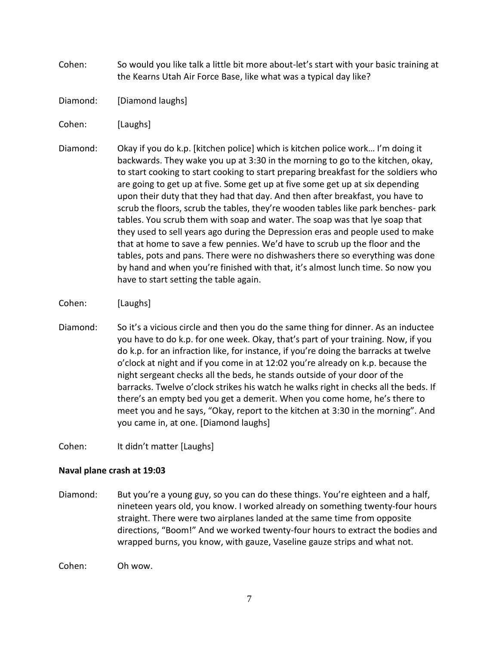- Cohen: So would you like talk a little bit more about-let's start with your basic training at the Kearns Utah Air Force Base, like what was a typical day like?
- Diamond: [Diamond laughs]
- Cohen: [Laughs]
- Diamond: Okay if you do k.p. [kitchen police] which is kitchen police work… I'm doing it backwards. They wake you up at 3:30 in the morning to go to the kitchen, okay, to start cooking to start cooking to start preparing breakfast for the soldiers who are going to get up at five. Some get up at five some get up at six depending upon their duty that they had that day. And then after breakfast, you have to scrub the floors, scrub the tables, they're wooden tables like park benches- park tables. You scrub them with soap and water. The soap was that lye soap that they used to sell years ago during the Depression eras and people used to make that at home to save a few pennies. We'd have to scrub up the floor and the tables, pots and pans. There were no dishwashers there so everything was done by hand and when you're finished with that, it's almost lunch time. So now you have to start setting the table again.
- Cohen: [Laughs]
- Diamond: So it's a vicious circle and then you do the same thing for dinner. As an inductee you have to do k.p. for one week. Okay, that's part of your training. Now, if you do k.p. for an infraction like, for instance, if you're doing the barracks at twelve o'clock at night and if you come in at 12:02 you're already on k.p. because the night sergeant checks all the beds, he stands outside of your door of the barracks. Twelve o'clock strikes his watch he walks right in checks all the beds. If there's an empty bed you get a demerit. When you come home, he's there to meet you and he says, "Okay, report to the kitchen at 3:30 in the morning". And you came in, at one. [Diamond laughs]
- Cohen: It didn't matter [Laughs]

# **Naval plane crash at 19:03**

Diamond: But you're a young guy, so you can do these things. You're eighteen and a half, nineteen years old, you know. I worked already on something twenty-four hours straight. There were two airplanes landed at the same time from opposite directions, "Boom!" And we worked twenty-four hours to extract the bodies and wrapped burns, you know, with gauze, Vaseline gauze strips and what not.

Cohen: Oh wow.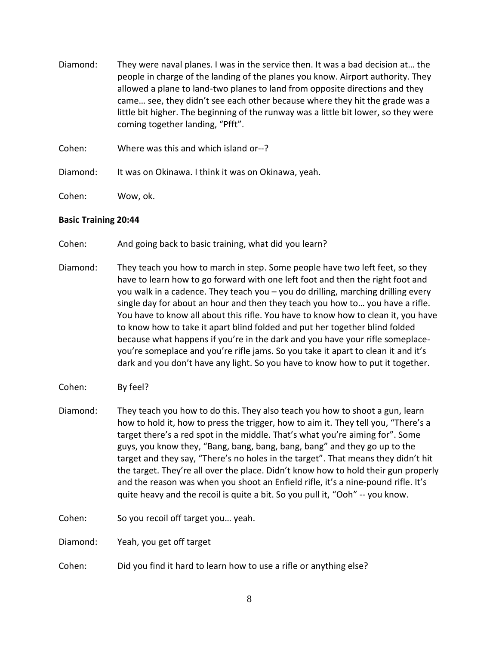- Diamond: They were naval planes. I was in the service then. It was a bad decision at… the people in charge of the landing of the planes you know. Airport authority. They allowed a plane to land-two planes to land from opposite directions and they came… see, they didn't see each other because where they hit the grade was a little bit higher. The beginning of the runway was a little bit lower, so they were coming together landing, "Pfft".
- Cohen: Where was this and which island or--?
- Diamond: It was on Okinawa. I think it was on Okinawa, yeah.
- Cohen: Wow, ok.

#### **Basic Training 20:44**

- Cohen: And going back to basic training, what did you learn?
- Diamond: They teach you how to march in step. Some people have two left feet, so they have to learn how to go forward with one left foot and then the right foot and you walk in a cadence. They teach you – you do drilling, marching drilling every single day for about an hour and then they teach you how to… you have a rifle. You have to know all about this rifle. You have to know how to clean it, you have to know how to take it apart blind folded and put her together blind folded because what happens if you're in the dark and you have your rifle someplaceyou're someplace and you're rifle jams. So you take it apart to clean it and it's dark and you don't have any light. So you have to know how to put it together.
- Cohen: By feel?
- Diamond: They teach you how to do this. They also teach you how to shoot a gun, learn how to hold it, how to press the trigger, how to aim it. They tell you, "There's a target there's a red spot in the middle. That's what you're aiming for". Some guys, you know they, "Bang, bang, bang, bang, bang" and they go up to the target and they say, "There's no holes in the target". That means they didn't hit the target. They're all over the place. Didn't know how to hold their gun properly and the reason was when you shoot an Enfield rifle, it's a nine-pound rifle. It's quite heavy and the recoil is quite a bit. So you pull it, "Ooh" -- you know.
- Cohen: So you recoil off target you… yeah.

Diamond: Yeah, you get off target

Cohen: Did you find it hard to learn how to use a rifle or anything else?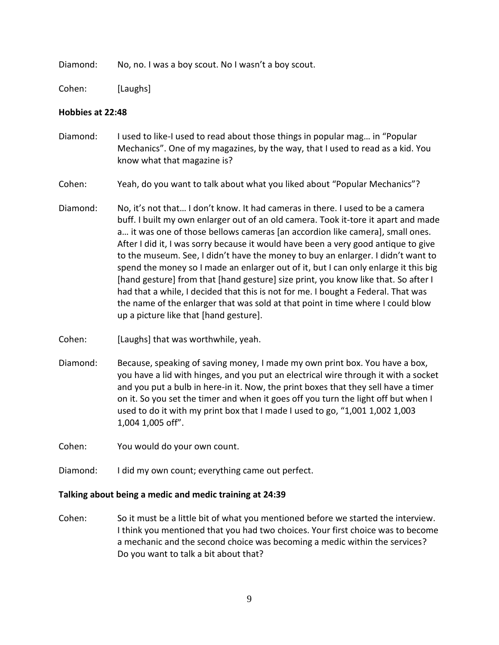Diamond: No, no. I was a boy scout. No I wasn't a boy scout.

Cohen: [Laughs]

## **Hobbies at 22:48**

- Diamond: I used to like-I used to read about those things in popular mag… in "Popular Mechanics". One of my magazines, by the way, that I used to read as a kid. You know what that magazine is?
- Cohen: Yeah, do you want to talk about what you liked about "Popular Mechanics"?
- Diamond: No, it's not that… I don't know. It had cameras in there. I used to be a camera buff. I built my own enlarger out of an old camera. Took it-tore it apart and made a… it was one of those bellows cameras [an accordion like camera], small ones. After I did it, I was sorry because it would have been a very good antique to give to the museum. See, I didn't have the money to buy an enlarger. I didn't want to spend the money so I made an enlarger out of it, but I can only enlarge it this big [hand gesture] from that [hand gesture] size print, you know like that. So after I had that a while, I decided that this is not for me. I bought a Federal. That was the name of the enlarger that was sold at that point in time where I could blow up a picture like that [hand gesture].
- Cohen: [Laughs] that was worthwhile, yeah.
- Diamond: Because, speaking of saving money, I made my own print box. You have a box, you have a lid with hinges, and you put an electrical wire through it with a socket and you put a bulb in here-in it. Now, the print boxes that they sell have a timer on it. So you set the timer and when it goes off you turn the light off but when I used to do it with my print box that I made I used to go, "1,001 1,002 1,003 1,004 1,005 off".
- Cohen: You would do your own count.
- Diamond: I did my own count; everything came out perfect.

#### **Talking about being a medic and medic training at 24:39**

Cohen: So it must be a little bit of what you mentioned before we started the interview. I think you mentioned that you had two choices. Your first choice was to become a mechanic and the second choice was becoming a medic within the services? Do you want to talk a bit about that?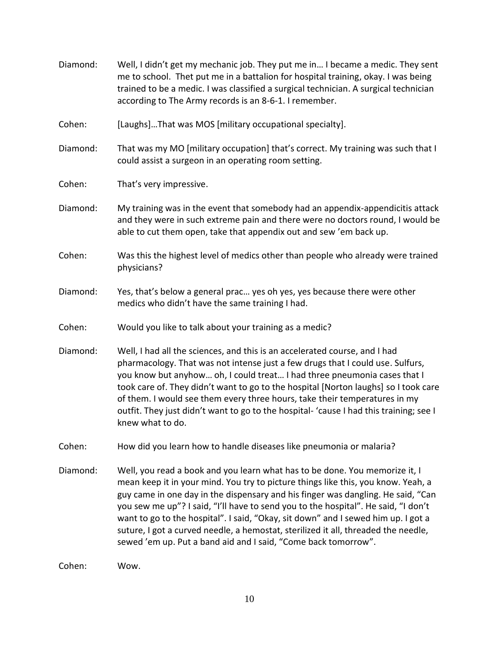Diamond: Well, I didn't get my mechanic job. They put me in… I became a medic. They sent me to school. Thet put me in a battalion for hospital training, okay. I was being trained to be a medic. I was classified a surgical technician. A surgical technician according to The Army records is an 8-6-1. I remember. Cohen: [Laughs]…That was MOS [military occupational specialty]. Diamond: That was my MO [military occupation] that's correct. My training was such that I could assist a surgeon in an operating room setting. Cohen: That's very impressive. Diamond: My training was in the event that somebody had an appendix-appendicitis attack and they were in such extreme pain and there were no doctors round, I would be able to cut them open, take that appendix out and sew 'em back up. Cohen: Was this the highest level of medics other than people who already were trained physicians? Diamond: Yes, that's below a general prac… yes oh yes, yes because there were other medics who didn't have the same training I had. Cohen: Would you like to talk about your training as a medic? Diamond: Well, I had all the sciences, and this is an accelerated course, and I had pharmacology. That was not intense just a few drugs that I could use. Sulfurs, you know but anyhow… oh, I could treat… I had three pneumonia cases that I took care of. They didn't want to go to the hospital [Norton laughs] so I took care of them. I would see them every three hours, take their temperatures in my outfit. They just didn't want to go to the hospital- 'cause I had this training; see I knew what to do. Cohen: How did you learn how to handle diseases like pneumonia or malaria? Diamond: Well, you read a book and you learn what has to be done. You memorize it, I mean keep it in your mind. You try to picture things like this, you know. Yeah, a guy came in one day in the dispensary and his finger was dangling. He said, "Can you sew me up"? I said, "I'll have to send you to the hospital". He said, "I don't want to go to the hospital". I said, "Okay, sit down" and I sewed him up. I got a suture, I got a curved needle, a hemostat, sterilized it all, threaded the needle, sewed 'em up. Put a band aid and I said, "Come back tomorrow". Cohen: Wow.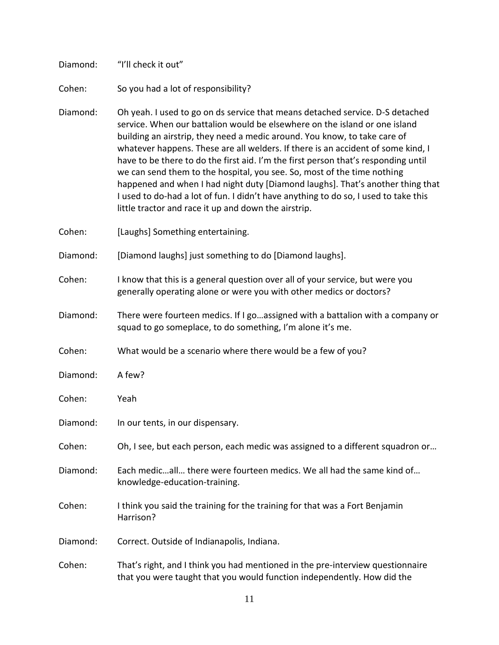Diamond: "I'll check it out"

Cohen: So you had a lot of responsibility?

Diamond: Oh yeah. I used to go on ds service that means detached service. D-S detached service. When our battalion would be elsewhere on the island or one island building an airstrip, they need a medic around. You know, to take care of whatever happens. These are all welders. If there is an accident of some kind, I have to be there to do the first aid. I'm the first person that's responding until we can send them to the hospital, you see. So, most of the time nothing happened and when I had night duty [Diamond laughs]. That's another thing that I used to do-had a lot of fun. I didn't have anything to do so, I used to take this little tractor and race it up and down the airstrip.

Cohen: [Laughs] Something entertaining.

Diamond: [Diamond laughs] just something to do [Diamond laughs].

Cohen: I know that this is a general question over all of your service, but were you generally operating alone or were you with other medics or doctors?

Diamond: There were fourteen medics. If I go…assigned with a battalion with a company or squad to go someplace, to do something, I'm alone it's me.

Cohen: What would be a scenario where there would be a few of you?

Diamond: A few?

Cohen: Yeah

Diamond: In our tents, in our dispensary.

Cohen: Oh, I see, but each person, each medic was assigned to a different squadron or…

Diamond: Each medic…all… there were fourteen medics. We all had the same kind of… knowledge-education-training.

Cohen: I think you said the training for the training for that was a Fort Benjamin Harrison?

Diamond: Correct. Outside of Indianapolis, Indiana.

Cohen: That's right, and I think you had mentioned in the pre-interview questionnaire that you were taught that you would function independently. How did the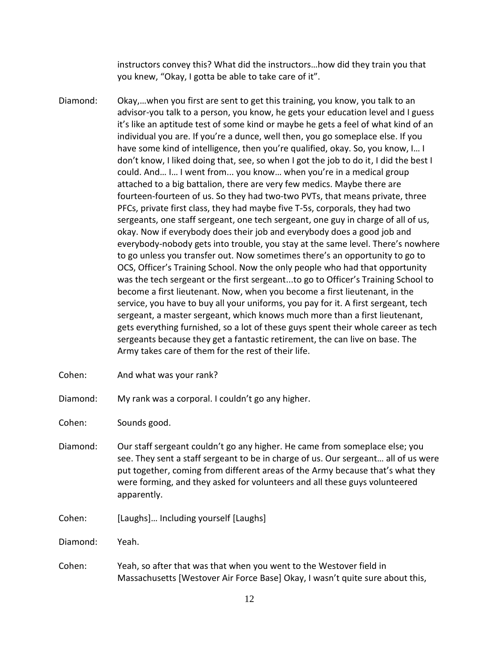instructors convey this? What did the instructors…how did they train you that you knew, "Okay, I gotta be able to take care of it".

- Diamond: Okay,…when you first are sent to get this training, you know, you talk to an advisor-you talk to a person, you know, he gets your education level and I guess it's like an aptitude test of some kind or maybe he gets a feel of what kind of an individual you are. If you're a dunce, well then, you go someplace else. If you have some kind of intelligence, then you're qualified, okay. So, you know, I… I don't know, I liked doing that, see, so when I got the job to do it, I did the best I could. And… I… I went from... you know… when you're in a medical group attached to a big battalion, there are very few medics. Maybe there are fourteen-fourteen of us. So they had two-two PVTs, that means private, three PFCs, private first class, they had maybe five T-5s, corporals, they had two sergeants, one staff sergeant, one tech sergeant, one guy in charge of all of us, okay. Now if everybody does their job and everybody does a good job and everybody-nobody gets into trouble, you stay at the same level. There's nowhere to go unless you transfer out. Now sometimes there's an opportunity to go to OCS, Officer's Training School. Now the only people who had that opportunity was the tech sergeant or the first sergeant...to go to Officer's Training School to become a first lieutenant. Now, when you become a first lieutenant, in the service, you have to buy all your uniforms, you pay for it. A first sergeant, tech sergeant, a master sergeant, which knows much more than a first lieutenant, gets everything furnished, so a lot of these guys spent their whole career as tech sergeants because they get a fantastic retirement, the can live on base. The Army takes care of them for the rest of their life.
- Cohen: And what was your rank?

Diamond: My rank was a corporal. I couldn't go any higher.

Cohen: Sounds good.

- Diamond: Our staff sergeant couldn't go any higher. He came from someplace else; you see. They sent a staff sergeant to be in charge of us. Our sergeant… all of us were put together, coming from different areas of the Army because that's what they were forming, and they asked for volunteers and all these guys volunteered apparently.
- Cohen: [Laughs]… Including yourself [Laughs]

Diamond: Yeah.

Cohen: Yeah, so after that was that when you went to the Westover field in Massachusetts [Westover Air Force Base] Okay, I wasn't quite sure about this,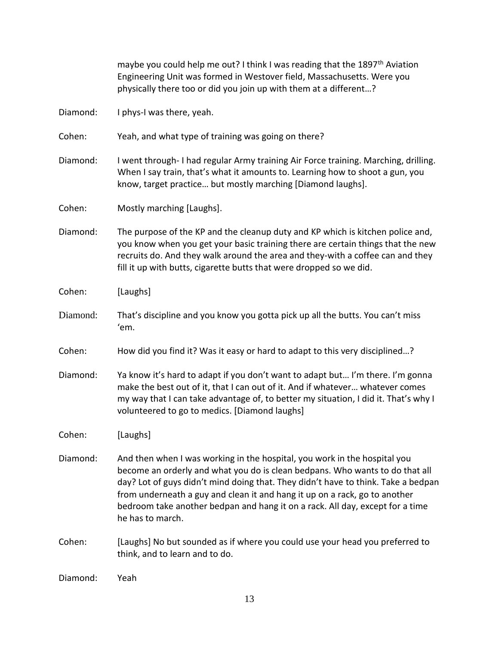maybe you could help me out? I think I was reading that the 1897<sup>th</sup> Aviation Engineering Unit was formed in Westover field, Massachusetts. Were you physically there too or did you join up with them at a different…? Diamond: I phys-I was there, yeah. Cohen: Yeah, and what type of training was going on there? Diamond: I went through- I had regular Army training Air Force training. Marching, drilling. When I say train, that's what it amounts to. Learning how to shoot a gun, you know, target practice… but mostly marching [Diamond laughs]. Cohen: Mostly marching [Laughs]. Diamond: The purpose of the KP and the cleanup duty and KP which is kitchen police and, you know when you get your basic training there are certain things that the new recruits do. And they walk around the area and they-with a coffee can and they fill it up with butts, cigarette butts that were dropped so we did. Cohen: [Laughs] Diamond: That's discipline and you know you gotta pick up all the butts. You can't miss 'em. Cohen: How did you find it? Was it easy or hard to adapt to this very disciplined…? Diamond: Ya know it's hard to adapt if you don't want to adapt but… I'm there. I'm gonna make the best out of it, that I can out of it. And if whatever… whatever comes my way that I can take advantage of, to better my situation, I did it. That's why I volunteered to go to medics. [Diamond laughs] Cohen: [Laughs] Diamond: And then when I was working in the hospital, you work in the hospital you become an orderly and what you do is clean bedpans. Who wants to do that all day? Lot of guys didn't mind doing that. They didn't have to think. Take a bedpan from underneath a guy and clean it and hang it up on a rack, go to another bedroom take another bedpan and hang it on a rack. All day, except for a time he has to march. Cohen: [Laughs] No but sounded as if where you could use your head you preferred to think, and to learn and to do.

Diamond: Yeah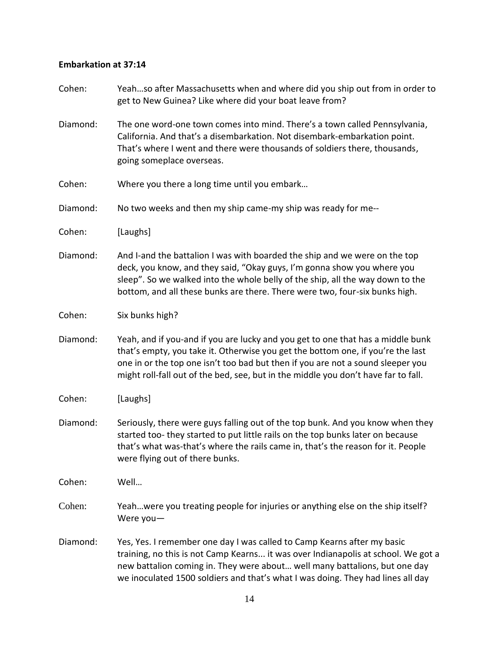# **Embarkation at 37:14**

| Cohen:   | Yeahso after Massachusetts when and where did you ship out from in order to<br>get to New Guinea? Like where did your boat leave from?                                                                                                                                                                                                      |
|----------|---------------------------------------------------------------------------------------------------------------------------------------------------------------------------------------------------------------------------------------------------------------------------------------------------------------------------------------------|
| Diamond: | The one word-one town comes into mind. There's a town called Pennsylvania,<br>California. And that's a disembarkation. Not disembark-embarkation point.<br>That's where I went and there were thousands of soldiers there, thousands,<br>going someplace overseas.                                                                          |
| Cohen:   | Where you there a long time until you embark                                                                                                                                                                                                                                                                                                |
| Diamond: | No two weeks and then my ship came-my ship was ready for me--                                                                                                                                                                                                                                                                               |
| Cohen:   | [Laughs]                                                                                                                                                                                                                                                                                                                                    |
| Diamond: | And I-and the battalion I was with boarded the ship and we were on the top<br>deck, you know, and they said, "Okay guys, I'm gonna show you where you<br>sleep". So we walked into the whole belly of the ship, all the way down to the<br>bottom, and all these bunks are there. There were two, four-six bunks high.                      |
| Cohen:   | Six bunks high?                                                                                                                                                                                                                                                                                                                             |
| Diamond: | Yeah, and if you-and if you are lucky and you get to one that has a middle bunk<br>that's empty, you take it. Otherwise you get the bottom one, if you're the last<br>one in or the top one isn't too bad but then if you are not a sound sleeper you<br>might roll-fall out of the bed, see, but in the middle you don't have far to fall. |
| Cohen:   | [Laughs]                                                                                                                                                                                                                                                                                                                                    |
| Diamond: | Seriously, there were guys falling out of the top bunk. And you know when they<br>started too-they started to put little rails on the top bunks later on because<br>that's what was-that's where the rails came in, that's the reason for it. People<br>were flying out of there bunks.                                                     |
| Cohen:   | Well                                                                                                                                                                                                                                                                                                                                        |
| Cohen:   | Yeahwere you treating people for injuries or anything else on the ship itself?<br>Were you-                                                                                                                                                                                                                                                 |
| Diamond: | Yes, Yes. I remember one day I was called to Camp Kearns after my basic<br>training, no this is not Camp Kearns it was over Indianapolis at school. We got a<br>new battalion coming in. They were about well many battalions, but one day<br>we inoculated 1500 soldiers and that's what I was doing. They had lines all day               |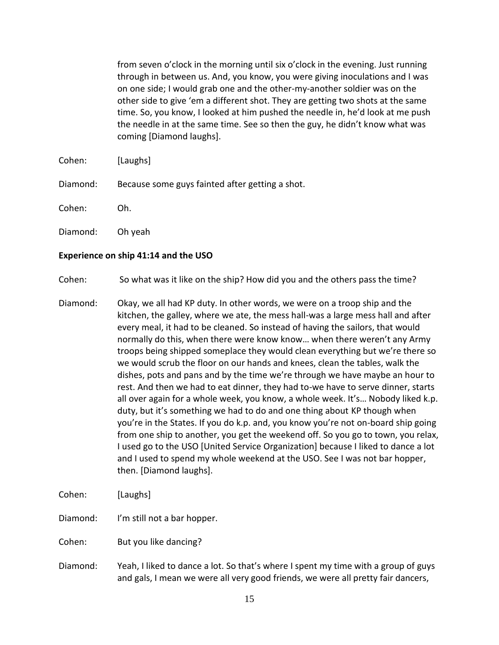from seven o'clock in the morning until six o'clock in the evening. Just running through in between us. And, you know, you were giving inoculations and I was on one side; I would grab one and the other-my-another soldier was on the other side to give 'em a different shot. They are getting two shots at the same time. So, you know, I looked at him pushed the needle in, he'd look at me push the needle in at the same time. See so then the guy, he didn't know what was coming [Diamond laughs].

- Cohen: [Laughs]
- Diamond: Because some guys fainted after getting a shot.
- Cohen: Oh.
- Diamond: Oh yeah

### **Experience on ship 41:14 and the USO**

Cohen: So what was it like on the ship? How did you and the others pass the time?

Diamond: Okay, we all had KP duty. In other words, we were on a troop ship and the kitchen, the galley, where we ate, the mess hall-was a large mess hall and after every meal, it had to be cleaned. So instead of having the sailors, that would normally do this, when there were know know… when there weren't any Army troops being shipped someplace they would clean everything but we're there so we would scrub the floor on our hands and knees, clean the tables, walk the dishes, pots and pans and by the time we're through we have maybe an hour to rest. And then we had to eat dinner, they had to-we have to serve dinner, starts all over again for a whole week, you know, a whole week. It's… Nobody liked k.p. duty, but it's something we had to do and one thing about KP though when you're in the States. If you do k.p. and, you know you're not on-board ship going from one ship to another, you get the weekend off. So you go to town, you relax, I used go to the USO [United Service Organization] because I liked to dance a lot and I used to spend my whole weekend at the USO. See I was not bar hopper, then. [Diamond laughs].

Cohen: [Laughs]

Diamond: I'm still not a bar hopper.

Cohen: But you like dancing?

Diamond: Yeah, I liked to dance a lot. So that's where I spent my time with a group of guys and gals, I mean we were all very good friends, we were all pretty fair dancers,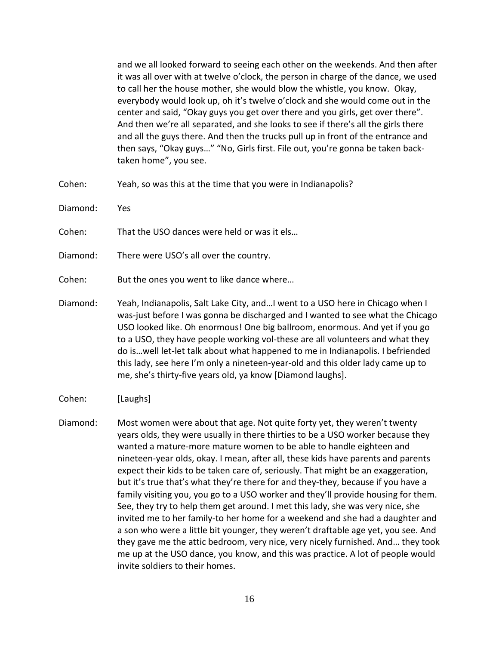and we all looked forward to seeing each other on the weekends. And then after it was all over with at twelve o'clock, the person in charge of the dance, we used to call her the house mother, she would blow the whistle, you know. Okay, everybody would look up, oh it's twelve o'clock and she would come out in the center and said, "Okay guys you get over there and you girls, get over there". And then we're all separated, and she looks to see if there's all the girls there and all the guys there. And then the trucks pull up in front of the entrance and then says, "Okay guys…" "No, Girls first. File out, you're gonna be taken backtaken home", you see.

Cohen: Yeah, so was this at the time that you were in Indianapolis?

Diamond: Yes

Cohen: That the USO dances were held or was it els…

Diamond: There were USO's all over the country.

Cohen: But the ones you went to like dance where…

- Diamond: Yeah, Indianapolis, Salt Lake City, and…I went to a USO here in Chicago when I was-just before I was gonna be discharged and I wanted to see what the Chicago USO looked like. Oh enormous! One big ballroom, enormous. And yet if you go to a USO, they have people working vol-these are all volunteers and what they do is…well let-let talk about what happened to me in Indianapolis. I befriended this lady, see here I'm only a nineteen-year-old and this older lady came up to me, she's thirty-five years old, ya know [Diamond laughs].
- Cohen: [Laughs]
- Diamond: Most women were about that age. Not quite forty yet, they weren't twenty years olds, they were usually in there thirties to be a USO worker because they wanted a mature-more mature women to be able to handle eighteen and nineteen-year olds, okay. I mean, after all, these kids have parents and parents expect their kids to be taken care of, seriously. That might be an exaggeration, but it's true that's what they're there for and they-they, because if you have a family visiting you, you go to a USO worker and they'll provide housing for them. See, they try to help them get around. I met this lady, she was very nice, she invited me to her family-to her home for a weekend and she had a daughter and a son who were a little bit younger, they weren't draftable age yet, you see. And they gave me the attic bedroom, very nice, very nicely furnished. And… they took me up at the USO dance, you know, and this was practice. A lot of people would invite soldiers to their homes.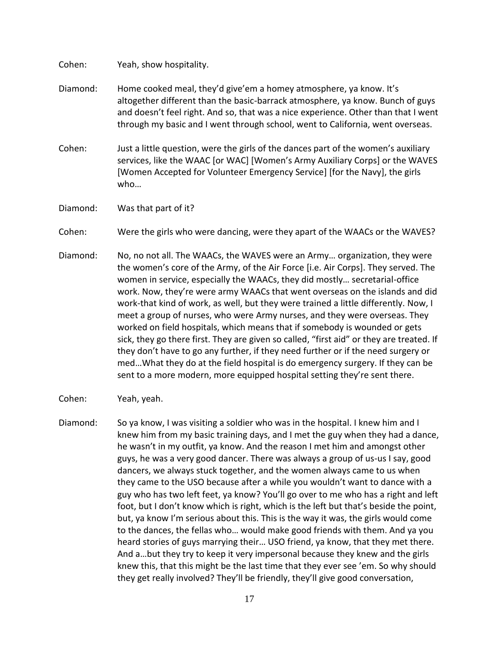Cohen: Yeah, show hospitality.

- Diamond: Home cooked meal, they'd give'em a homey atmosphere, ya know. It's altogether different than the basic-barrack atmosphere, ya know. Bunch of guys and doesn't feel right. And so, that was a nice experience. Other than that I went through my basic and I went through school, went to California, went overseas.
- Cohen: Just a little question, were the girls of the dances part of the women's auxiliary services, like the WAAC [or WAC] [Women's Army Auxiliary Corps] or the WAVES [Women Accepted for Volunteer Emergency Service] [for the Navy], the girls who…
- Diamond: Was that part of it?
- Cohen: Were the girls who were dancing, were they apart of the WAACs or the WAVES?
- Diamond: No, no not all. The WAACs, the WAVES were an Army… organization, they were the women's core of the Army, of the Air Force [i.e. Air Corps]. They served. The women in service, especially the WAACs, they did mostly… secretarial-office work. Now, they're were army WAACs that went overseas on the islands and did work-that kind of work, as well, but they were trained a little differently. Now, I meet a group of nurses, who were Army nurses, and they were overseas. They worked on field hospitals, which means that if somebody is wounded or gets sick, they go there first. They are given so called, "first aid" or they are treated. If they don't have to go any further, if they need further or if the need surgery or med…What they do at the field hospital is do emergency surgery. If they can be sent to a more modern, more equipped hospital setting they're sent there.
- Cohen: Yeah, yeah.
- Diamond: So ya know, I was visiting a soldier who was in the hospital. I knew him and I knew him from my basic training days, and I met the guy when they had a dance, he wasn't in my outfit, ya know. And the reason I met him and amongst other guys, he was a very good dancer. There was always a group of us-us I say, good dancers, we always stuck together, and the women always came to us when they came to the USO because after a while you wouldn't want to dance with a guy who has two left feet, ya know? You'll go over to me who has a right and left foot, but I don't know which is right, which is the left but that's beside the point, but, ya know I'm serious about this. This is the way it was, the girls would come to the dances, the fellas who… would make good friends with them. And ya you heard stories of guys marrying their… USO friend, ya know, that they met there. And a…but they try to keep it very impersonal because they knew and the girls knew this, that this might be the last time that they ever see 'em. So why should they get really involved? They'll be friendly, they'll give good conversation,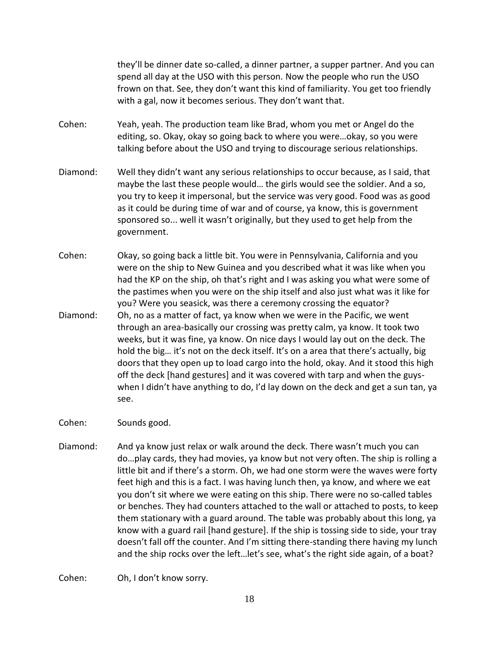they'll be dinner date so-called, a dinner partner, a supper partner. And you can spend all day at the USO with this person. Now the people who run the USO frown on that. See, they don't want this kind of familiarity. You get too friendly with a gal, now it becomes serious. They don't want that.

- Cohen: Yeah, yeah. The production team like Brad, whom you met or Angel do the editing, so. Okay, okay so going back to where you were…okay, so you were talking before about the USO and trying to discourage serious relationships.
- Diamond: Well they didn't want any serious relationships to occur because, as I said, that maybe the last these people would… the girls would see the soldier. And a so, you try to keep it impersonal, but the service was very good. Food was as good as it could be during time of war and of course, ya know, this is government sponsored so... well it wasn't originally, but they used to get help from the government.
- Cohen: Okay, so going back a little bit. You were in Pennsylvania, California and you were on the ship to New Guinea and you described what it was like when you had the KP on the ship, oh that's right and I was asking you what were some of the pastimes when you were on the ship itself and also just what was it like for you? Were you seasick, was there a ceremony crossing the equator?
- Diamond: Oh, no as a matter of fact, ya know when we were in the Pacific, we went through an area-basically our crossing was pretty calm, ya know. It took two weeks, but it was fine, ya know. On nice days I would lay out on the deck. The hold the big… it's not on the deck itself. It's on a area that there's actually, big doors that they open up to load cargo into the hold, okay. And it stood this high off the deck [hand gestures] and it was covered with tarp and when the guyswhen I didn't have anything to do, I'd lay down on the deck and get a sun tan, ya see.
- Cohen: Sounds good.
- Diamond: And ya know just relax or walk around the deck. There wasn't much you can do…play cards, they had movies, ya know but not very often. The ship is rolling a little bit and if there's a storm. Oh, we had one storm were the waves were forty feet high and this is a fact. I was having lunch then, ya know, and where we eat you don't sit where we were eating on this ship. There were no so-called tables or benches. They had counters attached to the wall or attached to posts, to keep them stationary with a guard around. The table was probably about this long, ya know with a guard rail [hand gesture]. If the ship is tossing side to side, your tray doesn't fall off the counter. And I'm sitting there-standing there having my lunch and the ship rocks over the left…let's see, what's the right side again, of a boat?

Cohen: Oh, I don't know sorry.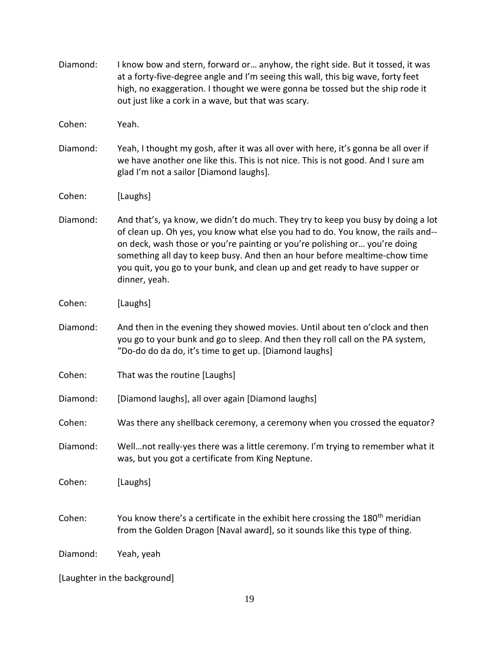| Diamond: | I know bow and stern, forward or anyhow, the right side. But it tossed, it was<br>at a forty-five-degree angle and I'm seeing this wall, this big wave, forty feet<br>high, no exaggeration. I thought we were gonna be tossed but the ship rode it<br>out just like a cork in a wave, but that was scary.                                                                                                                       |
|----------|----------------------------------------------------------------------------------------------------------------------------------------------------------------------------------------------------------------------------------------------------------------------------------------------------------------------------------------------------------------------------------------------------------------------------------|
| Cohen:   | Yeah.                                                                                                                                                                                                                                                                                                                                                                                                                            |
| Diamond: | Yeah, I thought my gosh, after it was all over with here, it's gonna be all over if<br>we have another one like this. This is not nice. This is not good. And I sure am<br>glad I'm not a sailor [Diamond laughs].                                                                                                                                                                                                               |
| Cohen:   | [Laughs]                                                                                                                                                                                                                                                                                                                                                                                                                         |
| Diamond: | And that's, ya know, we didn't do much. They try to keep you busy by doing a lot<br>of clean up. Oh yes, you know what else you had to do. You know, the rails and--<br>on deck, wash those or you're painting or you're polishing or you're doing<br>something all day to keep busy. And then an hour before mealtime-chow time<br>you quit, you go to your bunk, and clean up and get ready to have supper or<br>dinner, yeah. |
| Cohen:   | [Laughs]                                                                                                                                                                                                                                                                                                                                                                                                                         |
| Diamond: | And then in the evening they showed movies. Until about ten o'clock and then<br>you go to your bunk and go to sleep. And then they roll call on the PA system,<br>"Do-do do da do, it's time to get up. [Diamond laughs]                                                                                                                                                                                                         |
| Cohen:   | That was the routine [Laughs]                                                                                                                                                                                                                                                                                                                                                                                                    |
| Diamond: | [Diamond laughs], all over again [Diamond laughs]                                                                                                                                                                                                                                                                                                                                                                                |
| Cohen:   | Was there any shellback ceremony, a ceremony when you crossed the equator?                                                                                                                                                                                                                                                                                                                                                       |
| Diamond: | Wellnot really-yes there was a little ceremony. I'm trying to remember what it<br>was, but you got a certificate from King Neptune.                                                                                                                                                                                                                                                                                              |
| Cohen:   | [Laughs]                                                                                                                                                                                                                                                                                                                                                                                                                         |
| Cohen:   | You know there's a certificate in the exhibit here crossing the 180 <sup>th</sup> meridian<br>from the Golden Dragon [Naval award], so it sounds like this type of thing.                                                                                                                                                                                                                                                        |
| Diamond: | Yeah, yeah                                                                                                                                                                                                                                                                                                                                                                                                                       |

[Laughter in the background]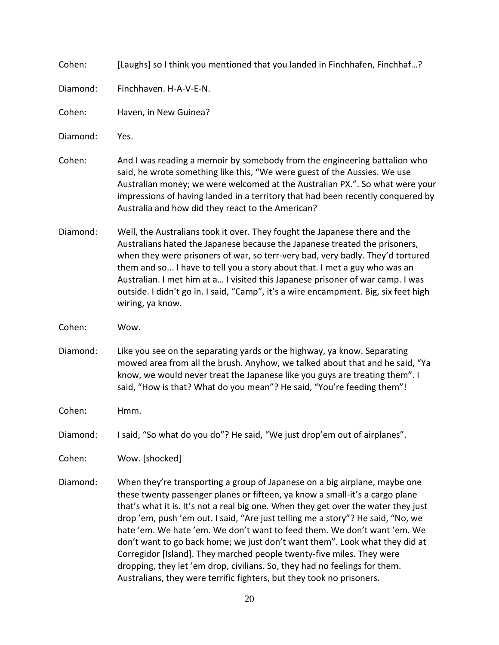Cohen: [Laughs] so I think you mentioned that you landed in Finchhafen, Finchhaf…?

Diamond: Finchhaven. H-A-V-E-N.

Cohen: Haven, in New Guinea?

Diamond: Yes.

- Cohen: And I was reading a memoir by somebody from the engineering battalion who said, he wrote something like this, "We were guest of the Aussies. We use Australian money; we were welcomed at the Australian PX.". So what were your impressions of having landed in a territory that had been recently conquered by Australia and how did they react to the American?
- Diamond: Well, the Australians took it over. They fought the Japanese there and the Australians hated the Japanese because the Japanese treated the prisoners, when they were prisoners of war, so terr-very bad, very badly. They'd tortured them and so... I have to tell you a story about that. I met a guy who was an Australian. I met him at a… I visited this Japanese prisoner of war camp. I was outside. I didn't go in. I said, "Camp", it's a wire encampment. Big, six feet high wiring, ya know.
- Cohen: Wow.
- Diamond: Like you see on the separating yards or the highway, ya know. Separating mowed area from all the brush. Anyhow, we talked about that and he said, "Ya know, we would never treat the Japanese like you guys are treating them". I said, "How is that? What do you mean"? He said, "You're feeding them"!
- Cohen: Hmm.

Diamond: I said, "So what do you do"? He said, "We just drop'em out of airplanes".

Cohen: Wow. [shocked]

Diamond: When they're transporting a group of Japanese on a big airplane, maybe one these twenty passenger planes or fifteen, ya know a small-it's a cargo plane that's what it is. It's not a real big one. When they get over the water they just drop 'em, push 'em out. I said, "Are just telling me a story"? He said, "No, we hate 'em. We hate 'em. We don't want to feed them. We don't want 'em. We don't want to go back home; we just don't want them". Look what they did at Corregidor [Island]. They marched people twenty-five miles. They were dropping, they let 'em drop, civilians. So, they had no feelings for them. Australians, they were terrific fighters, but they took no prisoners.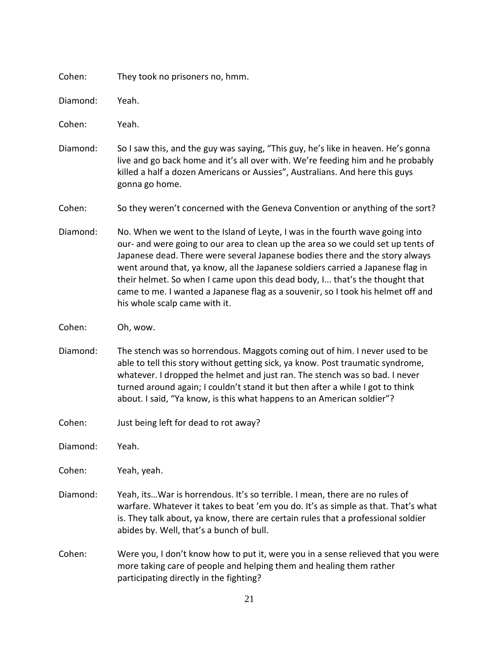| Cohen: |  | They took no prisoners no, hmm. |  |
|--------|--|---------------------------------|--|
|--------|--|---------------------------------|--|

| Diamond: | Yeah. |
|----------|-------|
|----------|-------|

Cohen: Yeah.

Diamond: So I saw this, and the guy was saying, "This guy, he's like in heaven. He's gonna live and go back home and it's all over with. We're feeding him and he probably killed a half a dozen Americans or Aussies", Australians. And here this guys gonna go home.

Cohen: So they weren't concerned with the Geneva Convention or anything of the sort?

- Diamond: No. When we went to the Island of Leyte, I was in the fourth wave going into our- and were going to our area to clean up the area so we could set up tents of Japanese dead. There were several Japanese bodies there and the story always went around that, ya know, all the Japanese soldiers carried a Japanese flag in their helmet. So when I came upon this dead body, I... that's the thought that came to me. I wanted a Japanese flag as a souvenir, so I took his helmet off and his whole scalp came with it.
- Cohen: Oh, wow.
- Diamond: The stench was so horrendous. Maggots coming out of him. I never used to be able to tell this story without getting sick, ya know. Post traumatic syndrome, whatever. I dropped the helmet and just ran. The stench was so bad. I never turned around again; I couldn't stand it but then after a while I got to think about. I said, "Ya know, is this what happens to an American soldier"?
- Cohen: Just being left for dead to rot away?
- Diamond: Yeah.

Cohen: Yeah, yeah.

- Diamond: Yeah, its…War is horrendous. It's so terrible. I mean, there are no rules of warfare. Whatever it takes to beat 'em you do. It's as simple as that. That's what is. They talk about, ya know, there are certain rules that a professional soldier abides by. Well, that's a bunch of bull.
- Cohen: Were you, I don't know how to put it, were you in a sense relieved that you were more taking care of people and helping them and healing them rather participating directly in the fighting?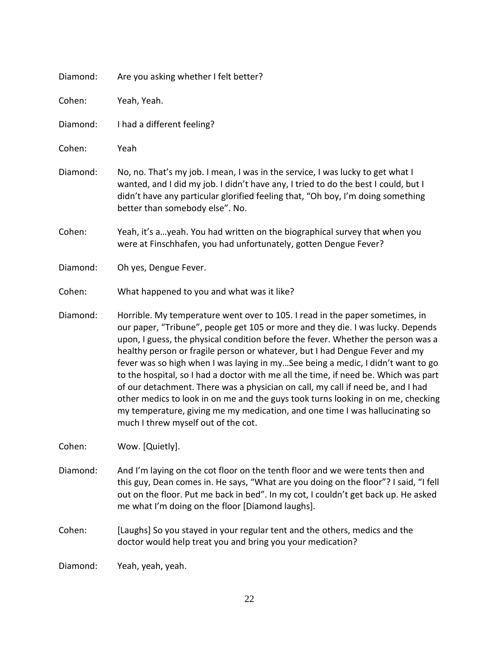| Diamond: | Are you asking whether I felt better?                                                                                                                                                                                                                                                                                                                                                                                                                                                                                                                                                                                                                                                                                                                                                                      |
|----------|------------------------------------------------------------------------------------------------------------------------------------------------------------------------------------------------------------------------------------------------------------------------------------------------------------------------------------------------------------------------------------------------------------------------------------------------------------------------------------------------------------------------------------------------------------------------------------------------------------------------------------------------------------------------------------------------------------------------------------------------------------------------------------------------------------|
| Cohen:   | Yeah, Yeah.                                                                                                                                                                                                                                                                                                                                                                                                                                                                                                                                                                                                                                                                                                                                                                                                |
| Diamond: | I had a different feeling?                                                                                                                                                                                                                                                                                                                                                                                                                                                                                                                                                                                                                                                                                                                                                                                 |
| Cohen:   | Yeah                                                                                                                                                                                                                                                                                                                                                                                                                                                                                                                                                                                                                                                                                                                                                                                                       |
| Diamond: | No, no. That's my job. I mean, I was in the service, I was lucky to get what I<br>wanted, and I did my job. I didn't have any, I tried to do the best I could, but I<br>didn't have any particular glorified feeling that, "Oh boy, I'm doing something<br>better than somebody else". No.                                                                                                                                                                                                                                                                                                                                                                                                                                                                                                                 |
| Cohen:   | Yeah, it's ayeah. You had written on the biographical survey that when you<br>were at Finschhafen, you had unfortunately, gotten Dengue Fever?                                                                                                                                                                                                                                                                                                                                                                                                                                                                                                                                                                                                                                                             |
| Diamond: | Oh yes, Dengue Fever.                                                                                                                                                                                                                                                                                                                                                                                                                                                                                                                                                                                                                                                                                                                                                                                      |
| Cohen:   | What happened to you and what was it like?                                                                                                                                                                                                                                                                                                                                                                                                                                                                                                                                                                                                                                                                                                                                                                 |
| Diamond: | Horrible. My temperature went over to 105. I read in the paper sometimes, in<br>our paper, "Tribune", people get 105 or more and they die. I was lucky. Depends<br>upon, I guess, the physical condition before the fever. Whether the person was a<br>healthy person or fragile person or whatever, but I had Dengue Fever and my<br>fever was so high when I was laying in mySee being a medic, I didn't want to go<br>to the hospital, so I had a doctor with me all the time, if need be. Which was part<br>of our detachment. There was a physician on call, my call if need be, and I had<br>other medics to look in on me and the guys took turns looking in on me, checking<br>my temperature, giving me my medication, and one time I was hallucinating so<br>much I threw myself out of the cot. |
| Cohen:   | Wow. [Quietly].                                                                                                                                                                                                                                                                                                                                                                                                                                                                                                                                                                                                                                                                                                                                                                                            |
| Diamond: | And I'm laying on the cot floor on the tenth floor and we were tents then and<br>this guy, Dean comes in. He says, "What are you doing on the floor"? I said, "I fell<br>out on the floor. Put me back in bed". In my cot, I couldn't get back up. He asked<br>me what I'm doing on the floor [Diamond laughs].                                                                                                                                                                                                                                                                                                                                                                                                                                                                                            |
| Cohen:   | [Laughs] So you stayed in your regular tent and the others, medics and the<br>doctor would help treat you and bring you your medication?                                                                                                                                                                                                                                                                                                                                                                                                                                                                                                                                                                                                                                                                   |
| Diamond: | Yeah, yeah, yeah.                                                                                                                                                                                                                                                                                                                                                                                                                                                                                                                                                                                                                                                                                                                                                                                          |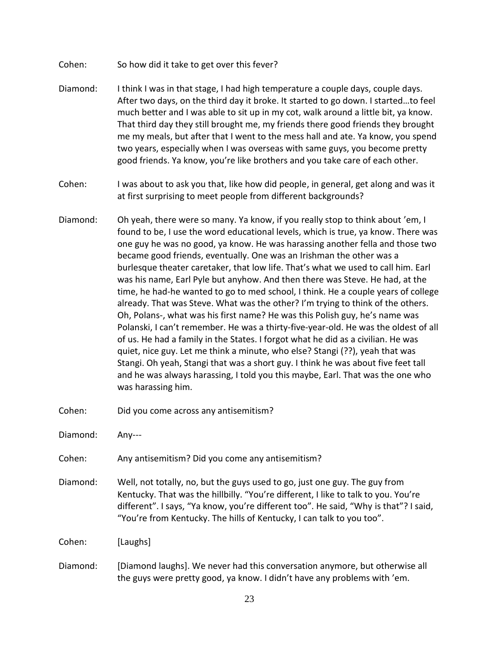- Cohen: So how did it take to get over this fever?
- Diamond: I think I was in that stage, I had high temperature a couple days, couple days. After two days, on the third day it broke. It started to go down. I started…to feel much better and I was able to sit up in my cot, walk around a little bit, ya know. That third day they still brought me, my friends there good friends they brought me my meals, but after that I went to the mess hall and ate. Ya know, you spend two years, especially when I was overseas with same guys, you become pretty good friends. Ya know, you're like brothers and you take care of each other.
- Cohen: I was about to ask you that, like how did people, in general, get along and was it at first surprising to meet people from different backgrounds?
- Diamond: Oh yeah, there were so many. Ya know, if you really stop to think about 'em, I found to be, I use the word educational levels, which is true, ya know. There was one guy he was no good, ya know. He was harassing another fella and those two became good friends, eventually. One was an Irishman the other was a burlesque theater caretaker, that low life. That's what we used to call him. Earl was his name, Earl Pyle but anyhow. And then there was Steve. He had, at the time, he had-he wanted to go to med school, I think. He a couple years of college already. That was Steve. What was the other? I'm trying to think of the others. Oh, Polans-, what was his first name? He was this Polish guy, he's name was Polanski, I can't remember. He was a thirty-five-year-old. He was the oldest of all of us. He had a family in the States. I forgot what he did as a civilian. He was quiet, nice guy. Let me think a minute, who else? Stangi (??), yeah that was Stangi. Oh yeah, Stangi that was a short guy. I think he was about five feet tall and he was always harassing, I told you this maybe, Earl. That was the one who was harassing him.
- Cohen: Did you come across any antisemitism?

Diamond: Any---

Cohen: Any antisemitism? Did you come any antisemitism?

Diamond: Well, not totally, no, but the guys used to go, just one guy. The guy from Kentucky. That was the hillbilly. "You're different, I like to talk to you. You're different". I says, "Ya know, you're different too". He said, "Why is that"? I said, "You're from Kentucky. The hills of Kentucky, I can talk to you too".

Cohen: [Laughs]

Diamond: [Diamond laughs]. We never had this conversation anymore, but otherwise all the guys were pretty good, ya know. I didn't have any problems with 'em.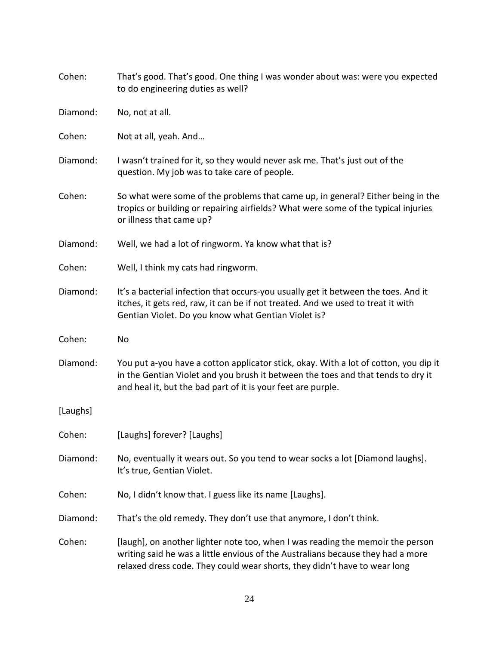| Cohen:   | That's good. That's good. One thing I was wonder about was: were you expected<br>to do engineering duties as well?                                                                                                                             |
|----------|------------------------------------------------------------------------------------------------------------------------------------------------------------------------------------------------------------------------------------------------|
| Diamond: | No, not at all.                                                                                                                                                                                                                                |
| Cohen:   | Not at all, yeah. And                                                                                                                                                                                                                          |
| Diamond: | I wasn't trained for it, so they would never ask me. That's just out of the<br>question. My job was to take care of people.                                                                                                                    |
| Cohen:   | So what were some of the problems that came up, in general? Either being in the<br>tropics or building or repairing airfields? What were some of the typical injuries<br>or illness that came up?                                              |
| Diamond: | Well, we had a lot of ringworm. Ya know what that is?                                                                                                                                                                                          |
| Cohen:   | Well, I think my cats had ringworm.                                                                                                                                                                                                            |
| Diamond: | It's a bacterial infection that occurs-you usually get it between the toes. And it<br>itches, it gets red, raw, it can be if not treated. And we used to treat it with<br>Gentian Violet. Do you know what Gentian Violet is?                  |
| Cohen:   | No                                                                                                                                                                                                                                             |
| Diamond: | You put a-you have a cotton applicator stick, okay. With a lot of cotton, you dip it<br>in the Gentian Violet and you brush it between the toes and that tends to dry it<br>and heal it, but the bad part of it is your feet are purple.       |
| [Laughs] |                                                                                                                                                                                                                                                |
| Cohen:   | [Laughs] forever? [Laughs]                                                                                                                                                                                                                     |
| Diamond: | No, eventually it wears out. So you tend to wear socks a lot [Diamond laughs].<br>It's true, Gentian Violet.                                                                                                                                   |
| Cohen:   | No, I didn't know that. I guess like its name [Laughs].                                                                                                                                                                                        |
| Diamond: | That's the old remedy. They don't use that anymore, I don't think.                                                                                                                                                                             |
| Cohen:   | [laugh], on another lighter note too, when I was reading the memoir the person<br>writing said he was a little envious of the Australians because they had a more<br>relaxed dress code. They could wear shorts, they didn't have to wear long |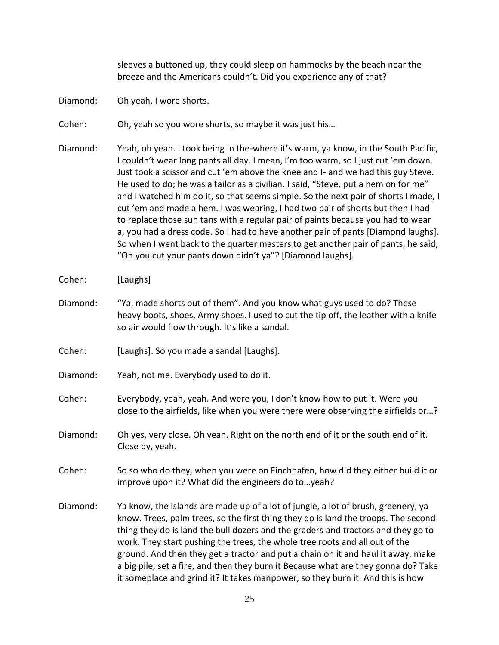sleeves a buttoned up, they could sleep on hammocks by the beach near the breeze and the Americans couldn't. Did you experience any of that?

Diamond: Oh yeah, I wore shorts.

Cohen: Oh, yeah so you wore shorts, so maybe it was just his…

Diamond: Yeah, oh yeah. I took being in the-where it's warm, ya know, in the South Pacific, I couldn't wear long pants all day. I mean, I'm too warm, so I just cut 'em down. Just took a scissor and cut 'em above the knee and I- and we had this guy Steve. He used to do; he was a tailor as a civilian. I said, "Steve, put a hem on for me" and I watched him do it, so that seems simple. So the next pair of shorts I made, I cut 'em and made a hem. I was wearing, I had two pair of shorts but then I had to replace those sun tans with a regular pair of paints because you had to wear a, you had a dress code. So I had to have another pair of pants [Diamond laughs]. So when I went back to the quarter masters to get another pair of pants, he said, "Oh you cut your pants down didn't ya"? [Diamond laughs].

Cohen: [Laughs]

- Diamond: "Ya, made shorts out of them". And you know what guys used to do? These heavy boots, shoes, Army shoes. I used to cut the tip off, the leather with a knife so air would flow through. It's like a sandal.
- Cohen: [Laughs]. So you made a sandal [Laughs].
- Diamond: Yeah, not me. Everybody used to do it.
- Cohen: Everybody, yeah, yeah. And were you, I don't know how to put it. Were you close to the airfields, like when you were there were observing the airfields or…?
- Diamond: Oh yes, very close. Oh yeah. Right on the north end of it or the south end of it. Close by, yeah.
- Cohen: So so who do they, when you were on Finchhafen, how did they either build it or improve upon it? What did the engineers do to…yeah?
- Diamond: Ya know, the islands are made up of a lot of jungle, a lot of brush, greenery, ya know. Trees, palm trees, so the first thing they do is land the troops. The second thing they do is land the bull dozers and the graders and tractors and they go to work. They start pushing the trees, the whole tree roots and all out of the ground. And then they get a tractor and put a chain on it and haul it away, make a big pile, set a fire, and then they burn it Because what are they gonna do? Take it someplace and grind it? It takes manpower, so they burn it. And this is how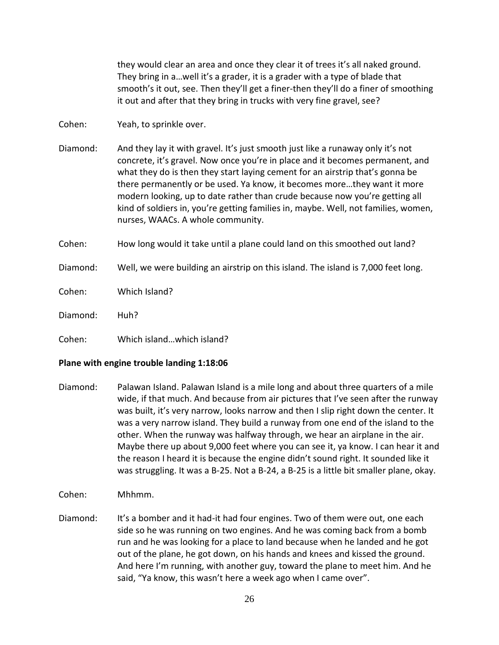they would clear an area and once they clear it of trees it's all naked ground. They bring in a…well it's a grader, it is a grader with a type of blade that smooth's it out, see. Then they'll get a finer-then they'll do a finer of smoothing it out and after that they bring in trucks with very fine gravel, see?

Cohen: Yeah, to sprinkle over.

Diamond: And they lay it with gravel. It's just smooth just like a runaway only it's not concrete, it's gravel. Now once you're in place and it becomes permanent, and what they do is then they start laying cement for an airstrip that's gonna be there permanently or be used. Ya know, it becomes more…they want it more modern looking, up to date rather than crude because now you're getting all kind of soldiers in, you're getting families in, maybe. Well, not families, women, nurses, WAACs. A whole community.

Cohen: How long would it take until a plane could land on this smoothed out land?

Diamond: Well, we were building an airstrip on this island. The island is 7,000 feet long.

Cohen: Which Island?

Diamond: Huh?

Cohen: Which island…which island?

#### **Plane with engine trouble landing 1:18:06**

Diamond: Palawan Island. Palawan Island is a mile long and about three quarters of a mile wide, if that much. And because from air pictures that I've seen after the runway was built, it's very narrow, looks narrow and then I slip right down the center. It was a very narrow island. They build a runway from one end of the island to the other. When the runway was halfway through, we hear an airplane in the air. Maybe there up about 9,000 feet where you can see it, ya know. I can hear it and the reason I heard it is because the engine didn't sound right. It sounded like it was struggling. It was a B-25. Not a B-24, a B-25 is a little bit smaller plane, okay.

Cohen: Mhhmm.

Diamond: It's a bomber and it had-it had four engines. Two of them were out, one each side so he was running on two engines. And he was coming back from a bomb run and he was looking for a place to land because when he landed and he got out of the plane, he got down, on his hands and knees and kissed the ground. And here I'm running, with another guy, toward the plane to meet him. And he said, "Ya know, this wasn't here a week ago when I came over".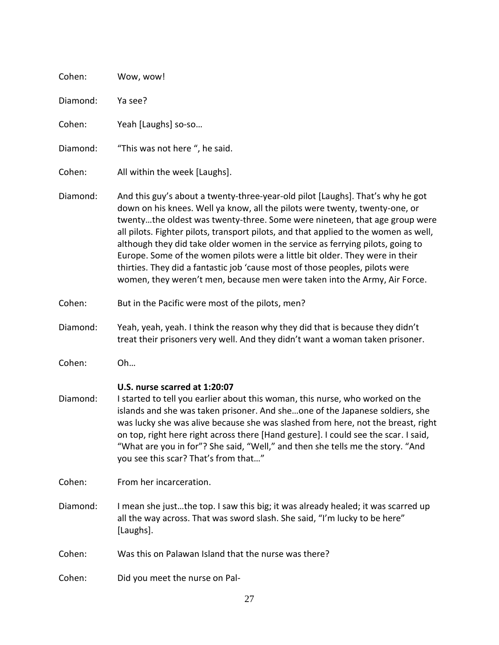| Cohen:   | Wow, wow!                                                                                                                                                                                                                                                                                                                                                                                                                                                                                                                                                                                                                                                          |
|----------|--------------------------------------------------------------------------------------------------------------------------------------------------------------------------------------------------------------------------------------------------------------------------------------------------------------------------------------------------------------------------------------------------------------------------------------------------------------------------------------------------------------------------------------------------------------------------------------------------------------------------------------------------------------------|
| Diamond: | Ya see?                                                                                                                                                                                                                                                                                                                                                                                                                                                                                                                                                                                                                                                            |
| Cohen:   | Yeah [Laughs] so-so                                                                                                                                                                                                                                                                                                                                                                                                                                                                                                                                                                                                                                                |
| Diamond: | "This was not here", he said.                                                                                                                                                                                                                                                                                                                                                                                                                                                                                                                                                                                                                                      |
| Cohen:   | All within the week [Laughs].                                                                                                                                                                                                                                                                                                                                                                                                                                                                                                                                                                                                                                      |
| Diamond: | And this guy's about a twenty-three-year-old pilot [Laughs]. That's why he got<br>down on his knees. Well ya know, all the pilots were twenty, twenty-one, or<br>twentythe oldest was twenty-three. Some were nineteen, that age group were<br>all pilots. Fighter pilots, transport pilots, and that applied to the women as well,<br>although they did take older women in the service as ferrying pilots, going to<br>Europe. Some of the women pilots were a little bit older. They were in their<br>thirties. They did a fantastic job 'cause most of those peoples, pilots were<br>women, they weren't men, because men were taken into the Army, Air Force. |
| Cohen:   | But in the Pacific were most of the pilots, men?                                                                                                                                                                                                                                                                                                                                                                                                                                                                                                                                                                                                                   |
| Diamond: | Yeah, yeah, yeah. I think the reason why they did that is because they didn't<br>treat their prisoners very well. And they didn't want a woman taken prisoner.                                                                                                                                                                                                                                                                                                                                                                                                                                                                                                     |
| Cohen:   | Oh                                                                                                                                                                                                                                                                                                                                                                                                                                                                                                                                                                                                                                                                 |
| Diamond: | U.S. nurse scarred at 1:20:07<br>I started to tell you earlier about this woman, this nurse, who worked on the<br>islands and she was taken prisoner. And sheone of the Japanese soldiers, she<br>was lucky she was alive because she was slashed from here, not the breast, right<br>on top, right here right across there [Hand gesture]. I could see the scar. I said,<br>"What are you in for"? She said, "Well," and then she tells me the story. "And<br>you see this scar? That's from that"                                                                                                                                                                |
| Cohen:   | From her incarceration.                                                                                                                                                                                                                                                                                                                                                                                                                                                                                                                                                                                                                                            |
| Diamond: | I mean she justthe top. I saw this big; it was already healed; it was scarred up<br>all the way across. That was sword slash. She said, "I'm lucky to be here"<br>[Laughs].                                                                                                                                                                                                                                                                                                                                                                                                                                                                                        |
| Cohen:   | Was this on Palawan Island that the nurse was there?                                                                                                                                                                                                                                                                                                                                                                                                                                                                                                                                                                                                               |
| Cohen:   | Did you meet the nurse on Pal-                                                                                                                                                                                                                                                                                                                                                                                                                                                                                                                                                                                                                                     |
|          |                                                                                                                                                                                                                                                                                                                                                                                                                                                                                                                                                                                                                                                                    |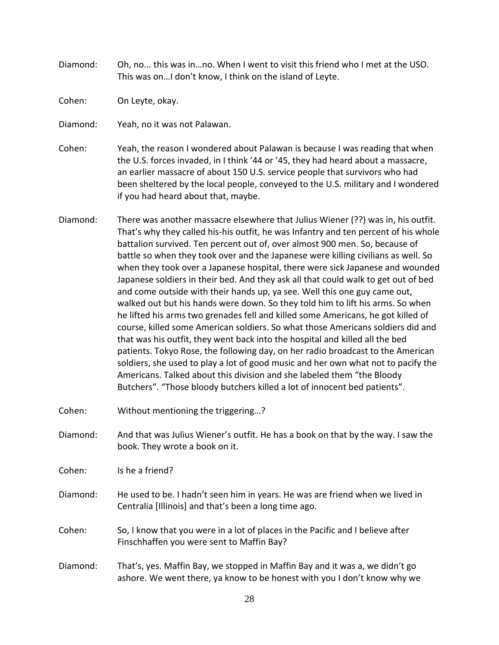Diamond: Oh, no... this was in…no. When I went to visit this friend who I met at the USO. This was on…I don't know, I think on the island of Leyte.

Cohen: On Leyte, okay.

- Diamond: Yeah, no it was not Palawan.
- Cohen: Yeah, the reason I wondered about Palawan is because I was reading that when the U.S. forces invaded, in I think '44 or '45, they had heard about a massacre, an earlier massacre of about 150 U.S. service people that survivors who had been sheltered by the local people, conveyed to the U.S. military and I wondered if you had heard about that, maybe.
- Diamond: There was another massacre elsewhere that Julius Wiener (??) was in, his outfit. That's why they called his-his outfit, he was Infantry and ten percent of his whole battalion survived. Ten percent out of, over almost 900 men. So, because of battle so when they took over and the Japanese were killing civilians as well. So when they took over a Japanese hospital, there were sick Japanese and wounded Japanese soldiers in their bed. And they ask all that could walk to get out of bed and come outside with their hands up, ya see. Well this one guy came out, walked out but his hands were down. So they told him to lift his arms. So when he lifted his arms two grenades fell and killed some Americans, he got killed of course, killed some American soldiers. So what those Americans soldiers did and that was his outfit, they went back into the hospital and killed all the bed patients. Tokyo Rose, the following day, on her radio broadcast to the American soldiers, she used to play a lot of good music and her own what not to pacify the Americans. Talked about this division and she labeled them "the Bloody Butchers". "Those bloody butchers killed a lot of innocent bed patients".
- Cohen: Without mentioning the triggering…?
- Diamond: And that was Julius Wiener's outfit. He has a book on that by the way. I saw the book. They wrote a book on it.

Cohen: Is he a friend?

- Diamond: He used to be. I hadn't seen him in years. He was are friend when we lived in Centralia [Illinois] and that's been a long time ago.
- Cohen: So, I know that you were in a lot of places in the Pacific and I believe after Finschhaffen you were sent to Maffin Bay?
- Diamond: That's, yes. Maffin Bay, we stopped in Maffin Bay and it was a, we didn't go ashore. We went there, ya know to be honest with you I don't know why we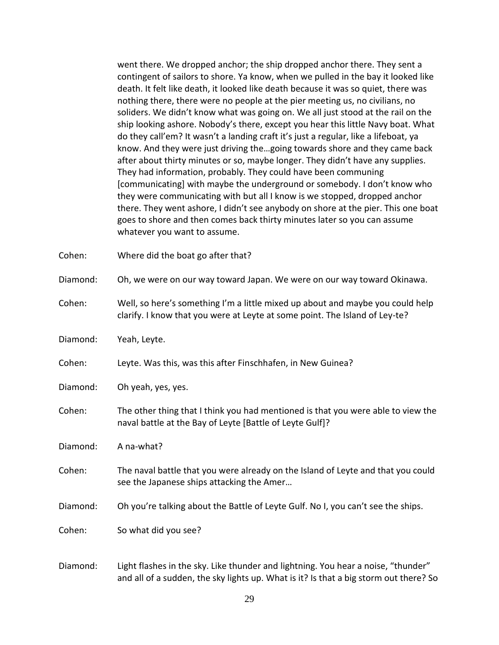went there. We dropped anchor; the ship dropped anchor there. They sent a contingent of sailors to shore. Ya know, when we pulled in the bay it looked like death. It felt like death, it looked like death because it was so quiet, there was nothing there, there were no people at the pier meeting us, no civilians, no soliders. We didn't know what was going on. We all just stood at the rail on the ship looking ashore. Nobody's there, except you hear this little Navy boat. What do they call'em? It wasn't a landing craft it's just a regular, like a lifeboat, ya know. And they were just driving the…going towards shore and they came back after about thirty minutes or so, maybe longer. They didn't have any supplies. They had information, probably. They could have been communing [communicating] with maybe the underground or somebody. I don't know who they were communicating with but all I know is we stopped, dropped anchor there. They went ashore, I didn't see anybody on shore at the pier. This one boat goes to shore and then comes back thirty minutes later so you can assume whatever you want to assume.

| Cohen:   | Where did the boat go after that?                                                                                                                             |
|----------|---------------------------------------------------------------------------------------------------------------------------------------------------------------|
| Diamond: | Oh, we were on our way toward Japan. We were on our way toward Okinawa.                                                                                       |
| Cohen:   | Well, so here's something I'm a little mixed up about and maybe you could help<br>clarify. I know that you were at Leyte at some point. The Island of Ley-te? |
| Diamond: | Yeah, Leyte.                                                                                                                                                  |
| Cohen:   | Leyte. Was this, was this after Finschhafen, in New Guinea?                                                                                                   |
| Diamond: | Oh yeah, yes, yes.                                                                                                                                            |
| Cohen:   | The other thing that I think you had mentioned is that you were able to view the<br>naval battle at the Bay of Leyte [Battle of Leyte Gulf]?                  |
| Diamond: | A na-what?                                                                                                                                                    |
| Cohen:   | The naval battle that you were already on the Island of Leyte and that you could<br>see the Japanese ships attacking the Amer                                 |
| Diamond: | Oh you're talking about the Battle of Leyte Gulf. No I, you can't see the ships.                                                                              |
| Cohen:   | So what did you see?                                                                                                                                          |
|          |                                                                                                                                                               |

Diamond: Light flashes in the sky. Like thunder and lightning. You hear a noise, "thunder" and all of a sudden, the sky lights up. What is it? Is that a big storm out there? So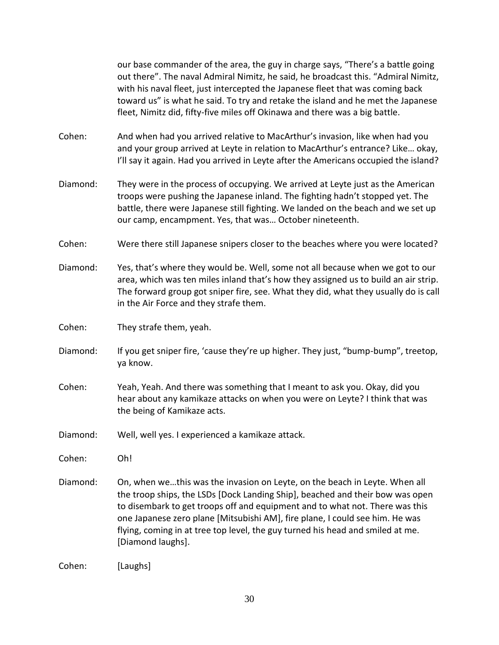our base commander of the area, the guy in charge says, "There's a battle going out there". The naval Admiral Nimitz, he said, he broadcast this. "Admiral Nimitz, with his naval fleet, just intercepted the Japanese fleet that was coming back toward us" is what he said. To try and retake the island and he met the Japanese fleet, Nimitz did, fifty-five miles off Okinawa and there was a big battle.

Cohen: And when had you arrived relative to MacArthur's invasion, like when had you and your group arrived at Leyte in relation to MacArthur's entrance? Like… okay, I'll say it again. Had you arrived in Leyte after the Americans occupied the island?

- Diamond: They were in the process of occupying. We arrived at Leyte just as the American troops were pushing the Japanese inland. The fighting hadn't stopped yet. The battle, there were Japanese still fighting. We landed on the beach and we set up our camp, encampment. Yes, that was… October nineteenth.
- Cohen: Were there still Japanese snipers closer to the beaches where you were located?
- Diamond: Yes, that's where they would be. Well, some not all because when we got to our area, which was ten miles inland that's how they assigned us to build an air strip. The forward group got sniper fire, see. What they did, what they usually do is call in the Air Force and they strafe them.

Cohen: They strafe them, yeah.

- Diamond: If you get sniper fire, 'cause they're up higher. They just, "bump-bump", treetop, ya know.
- Cohen: Yeah, Yeah. And there was something that I meant to ask you. Okay, did you hear about any kamikaze attacks on when you were on Leyte? I think that was the being of Kamikaze acts.
- Diamond: Well, well yes. I experienced a kamikaze attack.

Cohen: Oh!

Diamond: On, when we…this was the invasion on Leyte, on the beach in Leyte. When all the troop ships, the LSDs [Dock Landing Ship], beached and their bow was open to disembark to get troops off and equipment and to what not. There was this one Japanese zero plane [Mitsubishi AM], fire plane, I could see him. He was flying, coming in at tree top level, the guy turned his head and smiled at me. [Diamond laughs].

Cohen: [Laughs]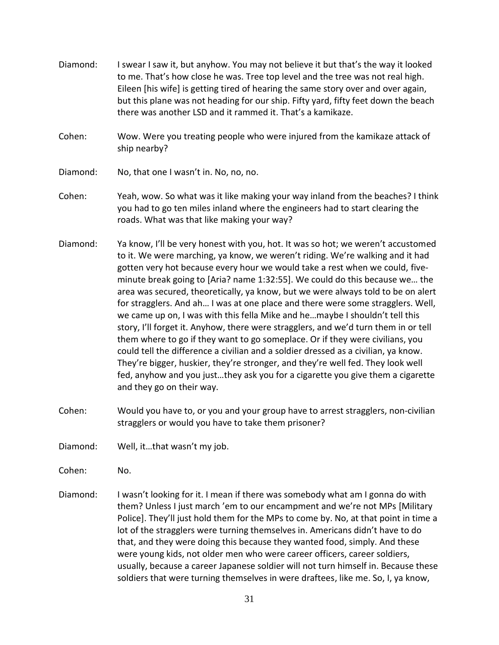- Diamond: I swear I saw it, but anyhow. You may not believe it but that's the way it looked to me. That's how close he was. Tree top level and the tree was not real high. Eileen [his wife] is getting tired of hearing the same story over and over again, but this plane was not heading for our ship. Fifty yard, fifty feet down the beach there was another LSD and it rammed it. That's a kamikaze.
- Cohen: Wow. Were you treating people who were injured from the kamikaze attack of ship nearby?
- Diamond: No, that one I wasn't in. No, no, no.
- Cohen: Yeah, wow. So what was it like making your way inland from the beaches? I think you had to go ten miles inland where the engineers had to start clearing the roads. What was that like making your way?
- Diamond: Ya know, I'll be very honest with you, hot. It was so hot; we weren't accustomed to it. We were marching, ya know, we weren't riding. We're walking and it had gotten very hot because every hour we would take a rest when we could, fiveminute break going to [Aria? name 1:32:55]. We could do this because we… the area was secured, theoretically, ya know, but we were always told to be on alert for stragglers. And ah… I was at one place and there were some stragglers. Well, we came up on, I was with this fella Mike and he…maybe I shouldn't tell this story, I'll forget it. Anyhow, there were stragglers, and we'd turn them in or tell them where to go if they want to go someplace. Or if they were civilians, you could tell the difference a civilian and a soldier dressed as a civilian, ya know. They're bigger, huskier, they're stronger, and they're well fed. They look well fed, anyhow and you just…they ask you for a cigarette you give them a cigarette and they go on their way.
- Cohen: Would you have to, or you and your group have to arrest stragglers, non-civilian stragglers or would you have to take them prisoner?
- Diamond: Well, it…that wasn't my job.
- Cohen: No.
- Diamond: I wasn't looking for it. I mean if there was somebody what am I gonna do with them? Unless I just march 'em to our encampment and we're not MPs [Military Police]. They'll just hold them for the MPs to come by. No, at that point in time a lot of the stragglers were turning themselves in. Americans didn't have to do that, and they were doing this because they wanted food, simply. And these were young kids, not older men who were career officers, career soldiers, usually, because a career Japanese soldier will not turn himself in. Because these soldiers that were turning themselves in were draftees, like me. So, I, ya know,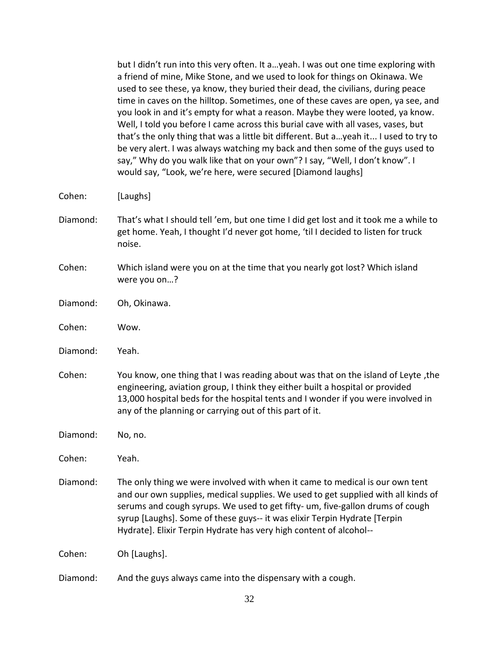| but I didn't run into this very often. It ayeah. I was out one time exploring with   |
|--------------------------------------------------------------------------------------|
| a friend of mine, Mike Stone, and we used to look for things on Okinawa. We          |
| used to see these, ya know, they buried their dead, the civilians, during peace      |
| time in caves on the hilltop. Sometimes, one of these caves are open, ya see, and    |
| you look in and it's empty for what a reason. Maybe they were looted, ya know.       |
| Well, I told you before I came across this burial cave with all vases, vases, but    |
| that's the only thing that was a little bit different. But ayeah it I used to try to |
| be very alert. I was always watching my back and then some of the guys used to       |
| say," Why do you walk like that on your own"? I say, "Well, I don't know". I         |
| would say, "Look, we're here, were secured [Diamond laughs]                          |
|                                                                                      |
| [Laughs]                                                                             |
|                                                                                      |

- Diamond: That's what I should tell 'em, but one time I did get lost and it took me a while to get home. Yeah, I thought I'd never got home, 'til I decided to listen for truck noise.
- Cohen: Which island were you on at the time that you nearly got lost? Which island were you on…?
- Diamond: Oh, Okinawa.
- Cohen: Wow.

 $Cohen:$ 

- Diamond: Yeah.
- Cohen: You know, one thing that I was reading about was that on the island of Leyte ,the engineering, aviation group, I think they either built a hospital or provided 13,000 hospital beds for the hospital tents and I wonder if you were involved in any of the planning or carrying out of this part of it.

Diamond: No, no.

Cohen: Yeah.

Diamond: The only thing we were involved with when it came to medical is our own tent and our own supplies, medical supplies. We used to get supplied with all kinds of serums and cough syrups. We used to get fifty- um, five-gallon drums of cough syrup [Laughs]. Some of these guys-- it was elixir Terpin Hydrate [Terpin Hydrate]. Elixir Terpin Hydrate has very high content of alcohol--

Cohen: Oh [Laughs].

Diamond: And the guys always came into the dispensary with a cough.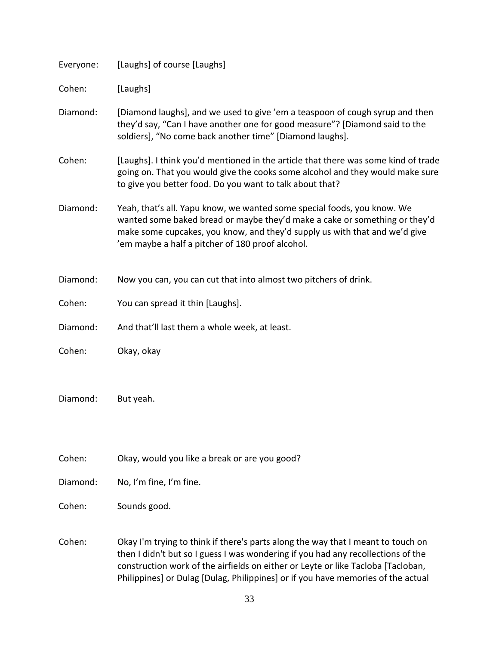| Everyone: | [Laughs] of course [Laughs]                                                                                                                                                                                                                                                             |
|-----------|-----------------------------------------------------------------------------------------------------------------------------------------------------------------------------------------------------------------------------------------------------------------------------------------|
| Cohen:    | [Laughs]                                                                                                                                                                                                                                                                                |
| Diamond:  | [Diamond laughs], and we used to give 'em a teaspoon of cough syrup and then<br>they'd say, "Can I have another one for good measure"? [Diamond said to the<br>soldiers], "No come back another time" [Diamond laughs].                                                                 |
| Cohen:    | [Laughs]. I think you'd mentioned in the article that there was some kind of trade<br>going on. That you would give the cooks some alcohol and they would make sure<br>to give you better food. Do you want to talk about that?                                                         |
| Diamond:  | Yeah, that's all. Yapu know, we wanted some special foods, you know. We<br>wanted some baked bread or maybe they'd make a cake or something or they'd<br>make some cupcakes, you know, and they'd supply us with that and we'd give<br>'em maybe a half a pitcher of 180 proof alcohol. |
| Diamond:  | Now you can, you can cut that into almost two pitchers of drink.                                                                                                                                                                                                                        |
| Cohen:    | You can spread it thin [Laughs].                                                                                                                                                                                                                                                        |
| Diamond:  | And that'll last them a whole week, at least.                                                                                                                                                                                                                                           |
| Cohen:    | Okay, okay                                                                                                                                                                                                                                                                              |
| Diamond:  | But yeah.                                                                                                                                                                                                                                                                               |
| Cohen:    | Okay, would you like a break or are you good?                                                                                                                                                                                                                                           |
| Diamond:  | No, I'm fine, I'm fine.                                                                                                                                                                                                                                                                 |
| Cohen:    | Sounds good.                                                                                                                                                                                                                                                                            |
| Cohen:    | Okay I'm trying to think if there's parts along the way that I meant to touch on<br>then I didn't but so I guess I was wondering if you had any recollections of the                                                                                                                    |

construction work of the airfields on either or Leyte or like Tacloba [Tacloban, Philippines] or Dulag [Dulag, Philippines] or if you have memories of the actual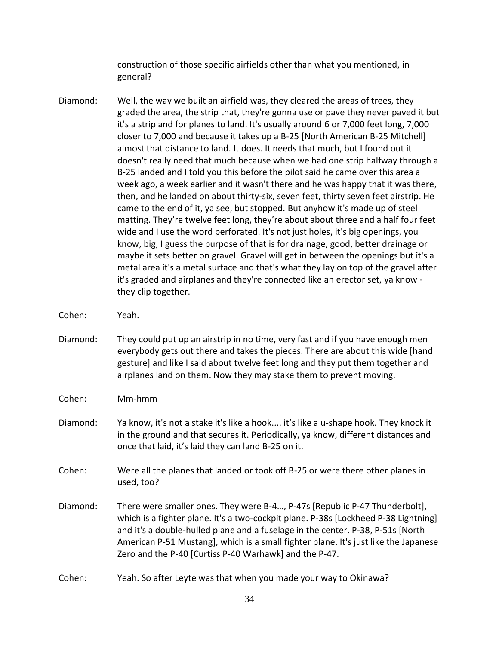construction of those specific airfields other than what you mentioned, in general?

- Diamond: Well, the way we built an airfield was, they cleared the areas of trees, they graded the area, the strip that, they're gonna use or pave they never paved it but it's a strip and for planes to land. It's usually around 6 or 7,000 feet long, 7,000 closer to 7,000 and because it takes up a B-25 [North American B-25 Mitchell] almost that distance to land. It does. It needs that much, but I found out it doesn't really need that much because when we had one strip halfway through a B-25 landed and I told you this before the pilot said he came over this area a week ago, a week earlier and it wasn't there and he was happy that it was there, then, and he landed on about thirty-six, seven feet, thirty seven feet airstrip. He came to the end of it, ya see, but stopped. But anyhow it's made up of steel matting. They're twelve feet long, they're about about three and a half four feet wide and I use the word perforated. It's not just holes, it's big openings, you know, big, I guess the purpose of that is for drainage, good, better drainage or maybe it sets better on gravel. Gravel will get in between the openings but it's a metal area it's a metal surface and that's what they lay on top of the gravel after it's graded and airplanes and they're connected like an erector set, ya know they clip together.
- Cohen: Yeah.
- Diamond: They could put up an airstrip in no time, very fast and if you have enough men everybody gets out there and takes the pieces. There are about this wide [hand gesture] and like I said about twelve feet long and they put them together and airplanes land on them. Now they may stake them to prevent moving.
- Cohen: Mm-hmm
- Diamond: Ya know, it's not a stake it's like a hook.... it's like a u-shape hook. They knock it in the ground and that secures it. Periodically, ya know, different distances and once that laid, it's laid they can land B-25 on it.
- Cohen: Were all the planes that landed or took off B-25 or were there other planes in used, too?
- Diamond: There were smaller ones. They were B-4…, P-47s [Republic P-47 Thunderbolt], which is a fighter plane. It's a two-cockpit plane. P-38s [Lockheed P-38 Lightning] and it's a double-hulled plane and a fuselage in the center. P-38, P-51s [North American P-51 Mustang], which is a small fighter plane. It's just like the Japanese Zero and the P-40 [Curtiss P-40 Warhawk] and the P-47.
- Cohen: Yeah. So after Leyte was that when you made your way to Okinawa?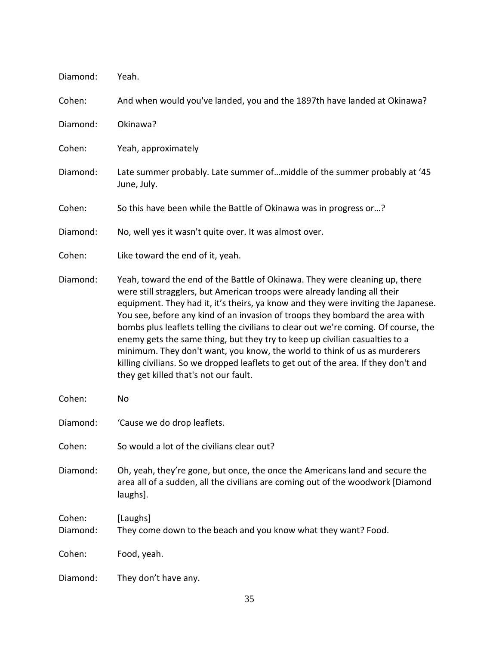| Diamond:           | Yeah.                                                                                                                                                                                                                                                                                                                                                                                                                                                                                                                                                                                                                                                                                                            |
|--------------------|------------------------------------------------------------------------------------------------------------------------------------------------------------------------------------------------------------------------------------------------------------------------------------------------------------------------------------------------------------------------------------------------------------------------------------------------------------------------------------------------------------------------------------------------------------------------------------------------------------------------------------------------------------------------------------------------------------------|
| Cohen:             | And when would you've landed, you and the 1897th have landed at Okinawa?                                                                                                                                                                                                                                                                                                                                                                                                                                                                                                                                                                                                                                         |
| Diamond:           | Okinawa?                                                                                                                                                                                                                                                                                                                                                                                                                                                                                                                                                                                                                                                                                                         |
| Cohen:             | Yeah, approximately                                                                                                                                                                                                                                                                                                                                                                                                                                                                                                                                                                                                                                                                                              |
| Diamond:           | Late summer probably. Late summer of middle of the summer probably at '45<br>June, July.                                                                                                                                                                                                                                                                                                                                                                                                                                                                                                                                                                                                                         |
| Cohen:             | So this have been while the Battle of Okinawa was in progress or?                                                                                                                                                                                                                                                                                                                                                                                                                                                                                                                                                                                                                                                |
| Diamond:           | No, well yes it wasn't quite over. It was almost over.                                                                                                                                                                                                                                                                                                                                                                                                                                                                                                                                                                                                                                                           |
| Cohen:             | Like toward the end of it, yeah.                                                                                                                                                                                                                                                                                                                                                                                                                                                                                                                                                                                                                                                                                 |
| Diamond:           | Yeah, toward the end of the Battle of Okinawa. They were cleaning up, there<br>were still stragglers, but American troops were already landing all their<br>equipment. They had it, it's theirs, ya know and they were inviting the Japanese.<br>You see, before any kind of an invasion of troops they bombard the area with<br>bombs plus leaflets telling the civilians to clear out we're coming. Of course, the<br>enemy gets the same thing, but they try to keep up civilian casualties to a<br>minimum. They don't want, you know, the world to think of us as murderers<br>killing civilians. So we dropped leaflets to get out of the area. If they don't and<br>they get killed that's not our fault. |
| Cohen:             | No                                                                                                                                                                                                                                                                                                                                                                                                                                                                                                                                                                                                                                                                                                               |
| Diamond:           | 'Cause we do drop leaflets.                                                                                                                                                                                                                                                                                                                                                                                                                                                                                                                                                                                                                                                                                      |
| Cohen:             | So would a lot of the civilians clear out?                                                                                                                                                                                                                                                                                                                                                                                                                                                                                                                                                                                                                                                                       |
| Diamond:           | Oh, yeah, they're gone, but once, the once the Americans land and secure the<br>area all of a sudden, all the civilians are coming out of the woodwork [Diamond<br>laughs].                                                                                                                                                                                                                                                                                                                                                                                                                                                                                                                                      |
| Cohen:<br>Diamond: | [Laughs]<br>They come down to the beach and you know what they want? Food.                                                                                                                                                                                                                                                                                                                                                                                                                                                                                                                                                                                                                                       |
| Cohen:             | Food, yeah.                                                                                                                                                                                                                                                                                                                                                                                                                                                                                                                                                                                                                                                                                                      |
| Diamond:           | They don't have any.                                                                                                                                                                                                                                                                                                                                                                                                                                                                                                                                                                                                                                                                                             |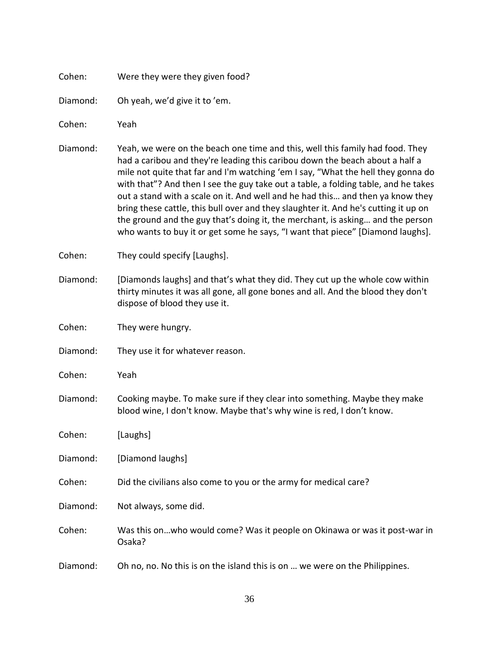| Cohen:   | Were they were they given food?                                                                                                                                                                                                                                                                                                                                                                                                                                                                                                                                                                                                                                                      |
|----------|--------------------------------------------------------------------------------------------------------------------------------------------------------------------------------------------------------------------------------------------------------------------------------------------------------------------------------------------------------------------------------------------------------------------------------------------------------------------------------------------------------------------------------------------------------------------------------------------------------------------------------------------------------------------------------------|
| Diamond: | Oh yeah, we'd give it to 'em.                                                                                                                                                                                                                                                                                                                                                                                                                                                                                                                                                                                                                                                        |
| Cohen:   | Yeah                                                                                                                                                                                                                                                                                                                                                                                                                                                                                                                                                                                                                                                                                 |
| Diamond: | Yeah, we were on the beach one time and this, well this family had food. They<br>had a caribou and they're leading this caribou down the beach about a half a<br>mile not quite that far and I'm watching 'em I say, "What the hell they gonna do<br>with that"? And then I see the guy take out a table, a folding table, and he takes<br>out a stand with a scale on it. And well and he had this and then ya know they<br>bring these cattle, this bull over and they slaughter it. And he's cutting it up on<br>the ground and the guy that's doing it, the merchant, is asking and the person<br>who wants to buy it or get some he says, "I want that piece" [Diamond laughs]. |
| Cohen:   | They could specify [Laughs].                                                                                                                                                                                                                                                                                                                                                                                                                                                                                                                                                                                                                                                         |
| Diamond: | [Diamonds laughs] and that's what they did. They cut up the whole cow within<br>thirty minutes it was all gone, all gone bones and all. And the blood they don't<br>dispose of blood they use it.                                                                                                                                                                                                                                                                                                                                                                                                                                                                                    |
| Cohen:   | They were hungry.                                                                                                                                                                                                                                                                                                                                                                                                                                                                                                                                                                                                                                                                    |
| Diamond: | They use it for whatever reason.                                                                                                                                                                                                                                                                                                                                                                                                                                                                                                                                                                                                                                                     |
| Cohen:   | Yeah                                                                                                                                                                                                                                                                                                                                                                                                                                                                                                                                                                                                                                                                                 |
| Diamond: | Cooking maybe. To make sure if they clear into something. Maybe they make<br>blood wine, I don't know. Maybe that's why wine is red, I don't know.                                                                                                                                                                                                                                                                                                                                                                                                                                                                                                                                   |
| Cohen:   | [Laughs]                                                                                                                                                                                                                                                                                                                                                                                                                                                                                                                                                                                                                                                                             |
| Diamond: | [Diamond laughs]                                                                                                                                                                                                                                                                                                                                                                                                                                                                                                                                                                                                                                                                     |
| Cohen:   | Did the civilians also come to you or the army for medical care?                                                                                                                                                                                                                                                                                                                                                                                                                                                                                                                                                                                                                     |
| Diamond: | Not always, some did.                                                                                                                                                                                                                                                                                                                                                                                                                                                                                                                                                                                                                                                                |
| Cohen:   | Was this onwho would come? Was it people on Okinawa or was it post-war in<br>Osaka?                                                                                                                                                                                                                                                                                                                                                                                                                                                                                                                                                                                                  |
| Diamond: | Oh no, no. No this is on the island this is on  we were on the Philippines.                                                                                                                                                                                                                                                                                                                                                                                                                                                                                                                                                                                                          |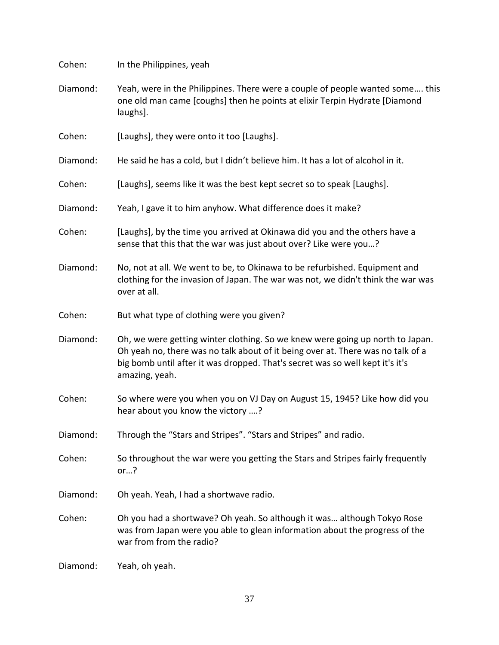| Cohen:   | In the Philippines, yeah                                                                                                                                                                                                                                            |
|----------|---------------------------------------------------------------------------------------------------------------------------------------------------------------------------------------------------------------------------------------------------------------------|
| Diamond: | Yeah, were in the Philippines. There were a couple of people wanted some this<br>one old man came [coughs] then he points at elixir Terpin Hydrate [Diamond<br>laughs].                                                                                             |
| Cohen:   | [Laughs], they were onto it too [Laughs].                                                                                                                                                                                                                           |
| Diamond: | He said he has a cold, but I didn't believe him. It has a lot of alcohol in it.                                                                                                                                                                                     |
| Cohen:   | [Laughs], seems like it was the best kept secret so to speak [Laughs].                                                                                                                                                                                              |
| Diamond: | Yeah, I gave it to him anyhow. What difference does it make?                                                                                                                                                                                                        |
| Cohen:   | [Laughs], by the time you arrived at Okinawa did you and the others have a<br>sense that this that the war was just about over? Like were you?                                                                                                                      |
| Diamond: | No, not at all. We went to be, to Okinawa to be refurbished. Equipment and<br>clothing for the invasion of Japan. The war was not, we didn't think the war was<br>over at all.                                                                                      |
| Cohen:   | But what type of clothing were you given?                                                                                                                                                                                                                           |
| Diamond: | Oh, we were getting winter clothing. So we knew were going up north to Japan.<br>Oh yeah no, there was no talk about of it being over at. There was no talk of a<br>big bomb until after it was dropped. That's secret was so well kept it's it's<br>amazing, yeah. |
| Cohen:   | So where were you when you on VJ Day on August 15, 1945? Like how did you<br>hear about you know the victory ?                                                                                                                                                      |
| Diamond: | Through the "Stars and Stripes". "Stars and Stripes" and radio.                                                                                                                                                                                                     |
| Cohen:   | So throughout the war were you getting the Stars and Stripes fairly frequently<br>or. $\ldots$ ?                                                                                                                                                                    |
| Diamond: | Oh yeah. Yeah, I had a shortwave radio.                                                                                                                                                                                                                             |
| Cohen:   | Oh you had a shortwave? Oh yeah. So although it was although Tokyo Rose<br>was from Japan were you able to glean information about the progress of the<br>war from from the radio?                                                                                  |
| Diamond: | Yeah, oh yeah.                                                                                                                                                                                                                                                      |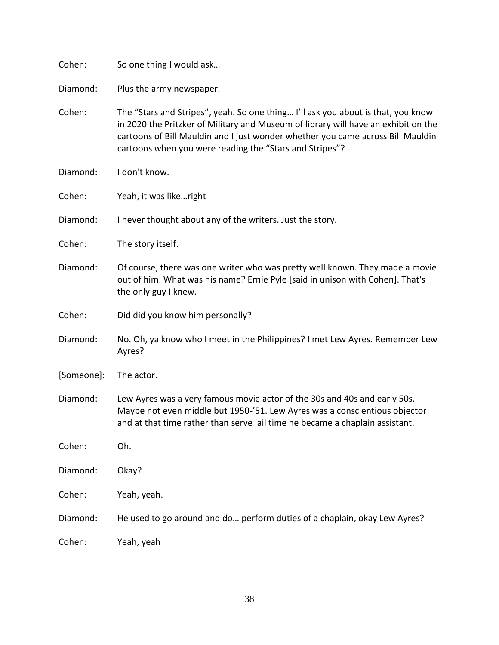| Cohen:     | So one thing I would ask                                                                                                                                                                                                                                                                                             |
|------------|----------------------------------------------------------------------------------------------------------------------------------------------------------------------------------------------------------------------------------------------------------------------------------------------------------------------|
| Diamond:   | Plus the army newspaper.                                                                                                                                                                                                                                                                                             |
| Cohen:     | The "Stars and Stripes", yeah. So one thing I'll ask you about is that, you know<br>in 2020 the Pritzker of Military and Museum of library will have an exhibit on the<br>cartoons of Bill Mauldin and I just wonder whether you came across Bill Mauldin<br>cartoons when you were reading the "Stars and Stripes"? |
| Diamond:   | I don't know.                                                                                                                                                                                                                                                                                                        |
| Cohen:     | Yeah, it was likeright                                                                                                                                                                                                                                                                                               |
| Diamond:   | I never thought about any of the writers. Just the story.                                                                                                                                                                                                                                                            |
| Cohen:     | The story itself.                                                                                                                                                                                                                                                                                                    |
| Diamond:   | Of course, there was one writer who was pretty well known. They made a movie<br>out of him. What was his name? Ernie Pyle [said in unison with Cohen]. That's<br>the only guy I knew.                                                                                                                                |
| Cohen:     | Did did you know him personally?                                                                                                                                                                                                                                                                                     |
| Diamond:   | No. Oh, ya know who I meet in the Philippines? I met Lew Ayres. Remember Lew<br>Ayres?                                                                                                                                                                                                                               |
| [Someone]: | The actor.                                                                                                                                                                                                                                                                                                           |
| Diamond:   | Lew Ayres was a very famous movie actor of the 30s and 40s and early 50s.<br>Maybe not even middle but 1950-'51. Lew Ayres was a conscientious objector<br>and at that time rather than serve jail time he became a chaplain assistant.                                                                              |
| Cohen:     | Oh.                                                                                                                                                                                                                                                                                                                  |
| Diamond:   | Okay?                                                                                                                                                                                                                                                                                                                |
| Cohen:     | Yeah, yeah.                                                                                                                                                                                                                                                                                                          |
| Diamond:   | He used to go around and do perform duties of a chaplain, okay Lew Ayres?                                                                                                                                                                                                                                            |
| Cohen:     | Yeah, yeah                                                                                                                                                                                                                                                                                                           |

38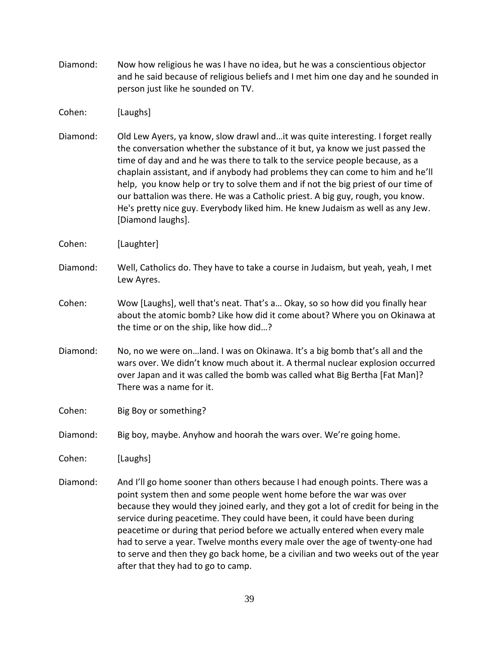Diamond: Now how religious he was I have no idea, but he was a conscientious objector and he said because of religious beliefs and I met him one day and he sounded in person just like he sounded on TV.

Cohen: [Laughs]

- Diamond: Old Lew Ayers, ya know, slow drawl and…it was quite interesting. I forget really the conversation whether the substance of it but, ya know we just passed the time of day and and he was there to talk to the service people because, as a chaplain assistant, and if anybody had problems they can come to him and he'll help, you know help or try to solve them and if not the big priest of our time of our battalion was there. He was a Catholic priest. A big guy, rough, you know. He's pretty nice guy. Everybody liked him. He knew Judaism as well as any Jew. [Diamond laughs].
- Cohen: [Laughter]
- Diamond: Well, Catholics do. They have to take a course in Judaism, but yeah, yeah, I met Lew Ayres.
- Cohen: Wow [Laughs], well that's neat. That's a… Okay, so so how did you finally hear about the atomic bomb? Like how did it come about? Where you on Okinawa at the time or on the ship, like how did…?
- Diamond: No, no we were on…land. I was on Okinawa. It's a big bomb that's all and the wars over. We didn't know much about it. A thermal nuclear explosion occurred over Japan and it was called the bomb was called what Big Bertha [Fat Man]? There was a name for it.

Cohen: Big Boy or something?

Diamond: Big boy, maybe. Anyhow and hoorah the wars over. We're going home.

Cohen: [Laughs]

Diamond: And I'll go home sooner than others because I had enough points. There was a point system then and some people went home before the war was over because they would they joined early, and they got a lot of credit for being in the service during peacetime. They could have been, it could have been during peacetime or during that period before we actually entered when every male had to serve a year. Twelve months every male over the age of twenty-one had to serve and then they go back home, be a civilian and two weeks out of the year after that they had to go to camp.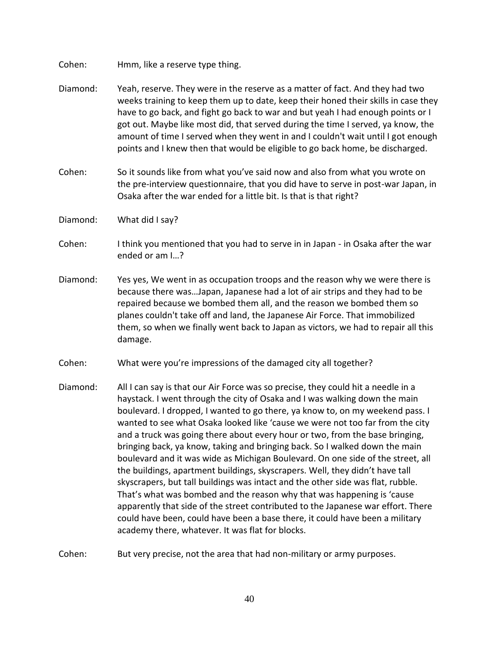Cohen: Hmm, like a reserve type thing.

- Diamond: Yeah, reserve. They were in the reserve as a matter of fact. And they had two weeks training to keep them up to date, keep their honed their skills in case they have to go back, and fight go back to war and but yeah I had enough points or I got out. Maybe like most did, that served during the time I served, ya know, the amount of time I served when they went in and I couldn't wait until I got enough points and I knew then that would be eligible to go back home, be discharged.
- Cohen: So it sounds like from what you've said now and also from what you wrote on the pre-interview questionnaire, that you did have to serve in post-war Japan, in Osaka after the war ended for a little bit. Is that is that right?
- Diamond: What did I say?
- Cohen: I think you mentioned that you had to serve in in Japan in Osaka after the war ended or am I…?
- Diamond: Yes yes, We went in as occupation troops and the reason why we were there is because there was…Japan, Japanese had a lot of air strips and they had to be repaired because we bombed them all, and the reason we bombed them so planes couldn't take off and land, the Japanese Air Force. That immobilized them, so when we finally went back to Japan as victors, we had to repair all this damage.
- Cohen: What were you're impressions of the damaged city all together?
- Diamond: All I can say is that our Air Force was so precise, they could hit a needle in a haystack. I went through the city of Osaka and I was walking down the main boulevard. I dropped, I wanted to go there, ya know to, on my weekend pass. I wanted to see what Osaka looked like 'cause we were not too far from the city and a truck was going there about every hour or two, from the base bringing, bringing back, ya know, taking and bringing back. So I walked down the main boulevard and it was wide as Michigan Boulevard. On one side of the street, all the buildings, apartment buildings, skyscrapers. Well, they didn't have tall skyscrapers, but tall buildings was intact and the other side was flat, rubble. That's what was bombed and the reason why that was happening is 'cause apparently that side of the street contributed to the Japanese war effort. There could have been, could have been a base there, it could have been a military academy there, whatever. It was flat for blocks.
- Cohen: But very precise, not the area that had non-military or army purposes.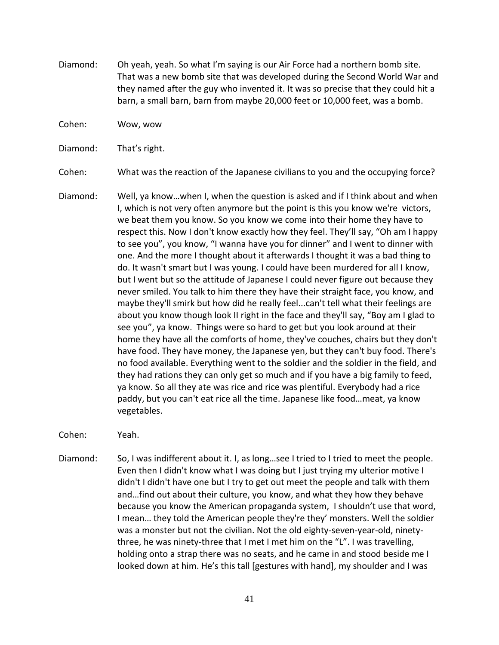- Diamond: Oh yeah, yeah. So what I'm saying is our Air Force had a northern bomb site. That was a new bomb site that was developed during the Second World War and they named after the guy who invented it. It was so precise that they could hit a barn, a small barn, barn from maybe 20,000 feet or 10,000 feet, was a bomb.
- Cohen: Wow, wow

Diamond: That's right.

Cohen: What was the reaction of the Japanese civilians to you and the occupying force?

Diamond: Well, ya know…when I, when the question is asked and if I think about and when I, which is not very often anymore but the point is this you know we're victors, we beat them you know. So you know we come into their home they have to respect this. Now I don't know exactly how they feel. They'll say, "Oh am I happy to see you", you know, "I wanna have you for dinner" and I went to dinner with one. And the more I thought about it afterwards I thought it was a bad thing to do. It wasn't smart but I was young. I could have been murdered for all I know, but I went but so the attitude of Japanese I could never figure out because they never smiled. You talk to him there they have their straight face, you know, and maybe they'll smirk but how did he really feel...can't tell what their feelings are about you know though look II right in the face and they'll say, "Boy am I glad to see you", ya know. Things were so hard to get but you look around at their home they have all the comforts of home, they've couches, chairs but they don't have food. They have money, the Japanese yen, but they can't buy food. There's no food available. Everything went to the soldier and the soldier in the field, and they had rations they can only get so much and if you have a big family to feed, ya know. So all they ate was rice and rice was plentiful. Everybody had a rice paddy, but you can't eat rice all the time. Japanese like food…meat, ya know vegetables.

Cohen: Yeah.

Diamond: So, I was indifferent about it. I, as long…see I tried to I tried to meet the people. Even then I didn't know what I was doing but I just trying my ulterior motive I didn't I didn't have one but I try to get out meet the people and talk with them and…find out about their culture, you know, and what they how they behave because you know the American propaganda system, I shouldn't use that word, I mean… they told the American people they're they' monsters. Well the soldier was a monster but not the civilian. Not the old eighty-seven-year-old, ninetythree, he was ninety-three that I met I met him on the "L". I was travelling, holding onto a strap there was no seats, and he came in and stood beside me I looked down at him. He's this tall [gestures with hand], my shoulder and I was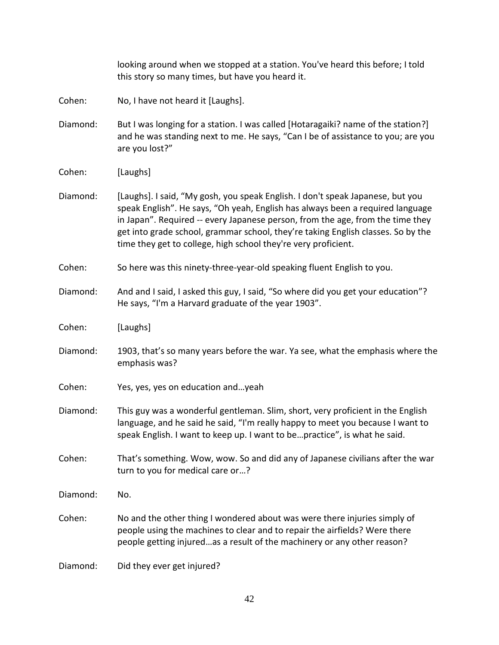looking around when we stopped at a station. You've heard this before; I told this story so many times, but have you heard it.

Cohen: No, I have not heard it [Laughs].

- Diamond: But I was longing for a station. I was called [Hotaragaiki? name of the station?] and he was standing next to me. He says, "Can I be of assistance to you; are you are you lost?"
- Cohen: [Laughs]

Diamond: [Laughs]. I said, "My gosh, you speak English. I don't speak Japanese, but you speak English". He says, "Oh yeah, English has always been a required language in Japan". Required -- every Japanese person, from the age, from the time they get into grade school, grammar school, they're taking English classes. So by the time they get to college, high school they're very proficient.

- Cohen: So here was this ninety-three-year-old speaking fluent English to you.
- Diamond: And and I said, I asked this guy, I said, "So where did you get your education"? He says, "I'm a Harvard graduate of the year 1903".
- Cohen: [Laughs]
- Diamond: 1903, that's so many years before the war. Ya see, what the emphasis where the emphasis was?
- Cohen: Yes, yes, yes on education and…yeah
- Diamond: This guy was a wonderful gentleman. Slim, short, very proficient in the English language, and he said he said, "I'm really happy to meet you because I want to speak English. I want to keep up. I want to be…practice", is what he said.
- Cohen: That's something. Wow, wow. So and did any of Japanese civilians after the war turn to you for medical care or…?
- Diamond: No.
- Cohen: No and the other thing I wondered about was were there injuries simply of people using the machines to clear and to repair the airfields? Were there people getting injured…as a result of the machinery or any other reason?

Diamond: Did they ever get injured?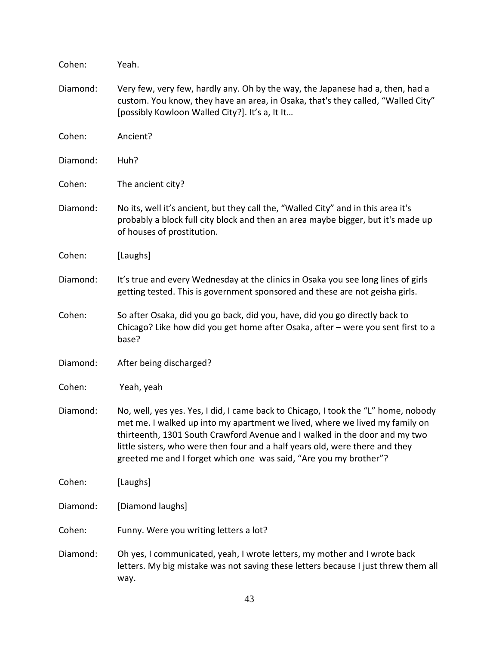| Cohen:   | Yeah.                                                                                                                                                                                                                                                                                                                                                                                                |
|----------|------------------------------------------------------------------------------------------------------------------------------------------------------------------------------------------------------------------------------------------------------------------------------------------------------------------------------------------------------------------------------------------------------|
| Diamond: | Very few, very few, hardly any. Oh by the way, the Japanese had a, then, had a<br>custom. You know, they have an area, in Osaka, that's they called, "Walled City"<br>[possibly Kowloon Walled City?]. It's a, It It                                                                                                                                                                                 |
| Cohen:   | Ancient?                                                                                                                                                                                                                                                                                                                                                                                             |
| Diamond: | Huh?                                                                                                                                                                                                                                                                                                                                                                                                 |
| Cohen:   | The ancient city?                                                                                                                                                                                                                                                                                                                                                                                    |
| Diamond: | No its, well it's ancient, but they call the, "Walled City" and in this area it's<br>probably a block full city block and then an area maybe bigger, but it's made up<br>of houses of prostitution.                                                                                                                                                                                                  |
| Cohen:   | [Laughs]                                                                                                                                                                                                                                                                                                                                                                                             |
| Diamond: | It's true and every Wednesday at the clinics in Osaka you see long lines of girls<br>getting tested. This is government sponsored and these are not geisha girls.                                                                                                                                                                                                                                    |
| Cohen:   | So after Osaka, did you go back, did you, have, did you go directly back to<br>Chicago? Like how did you get home after Osaka, after - were you sent first to a<br>base?                                                                                                                                                                                                                             |
| Diamond: | After being discharged?                                                                                                                                                                                                                                                                                                                                                                              |
| Cohen:   | Yeah, yeah                                                                                                                                                                                                                                                                                                                                                                                           |
| Diamond: | No, well, yes yes. Yes, I did, I came back to Chicago, I took the "L" home, nobody<br>met me. I walked up into my apartment we lived, where we lived my family on<br>thirteenth, 1301 South Crawford Avenue and I walked in the door and my two<br>little sisters, who were then four and a half years old, were there and they<br>greeted me and I forget which one was said, "Are you my brother"? |
| Cohen:   | [Laughs]                                                                                                                                                                                                                                                                                                                                                                                             |
| Diamond: | [Diamond laughs]                                                                                                                                                                                                                                                                                                                                                                                     |
| Cohen:   | Funny. Were you writing letters a lot?                                                                                                                                                                                                                                                                                                                                                               |
| Diamond: | Oh yes, I communicated, yeah, I wrote letters, my mother and I wrote back<br>letters. My big mistake was not saving these letters because I just threw them all<br>way.                                                                                                                                                                                                                              |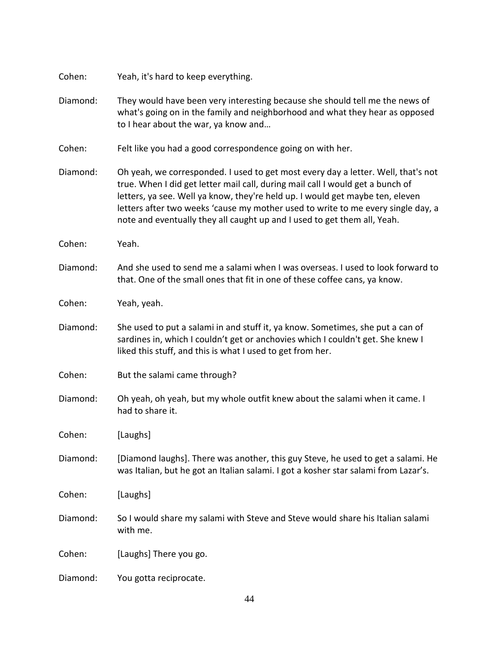| Cohen:   | Yeah, it's hard to keep everything.                                                                                                                                                                                                                                                                                                                                                                                  |
|----------|----------------------------------------------------------------------------------------------------------------------------------------------------------------------------------------------------------------------------------------------------------------------------------------------------------------------------------------------------------------------------------------------------------------------|
| Diamond: | They would have been very interesting because she should tell me the news of<br>what's going on in the family and neighborhood and what they hear as opposed<br>to I hear about the war, ya know and                                                                                                                                                                                                                 |
| Cohen:   | Felt like you had a good correspondence going on with her.                                                                                                                                                                                                                                                                                                                                                           |
| Diamond: | Oh yeah, we corresponded. I used to get most every day a letter. Well, that's not<br>true. When I did get letter mail call, during mail call I would get a bunch of<br>letters, ya see. Well ya know, they're held up. I would get maybe ten, eleven<br>letters after two weeks 'cause my mother used to write to me every single day, a<br>note and eventually they all caught up and I used to get them all, Yeah. |
| Cohen:   | Yeah.                                                                                                                                                                                                                                                                                                                                                                                                                |
| Diamond: | And she used to send me a salami when I was overseas. I used to look forward to<br>that. One of the small ones that fit in one of these coffee cans, ya know.                                                                                                                                                                                                                                                        |
| Cohen:   | Yeah, yeah.                                                                                                                                                                                                                                                                                                                                                                                                          |
| Diamond: | She used to put a salami in and stuff it, ya know. Sometimes, she put a can of<br>sardines in, which I couldn't get or anchovies which I couldn't get. She knew I<br>liked this stuff, and this is what I used to get from her.                                                                                                                                                                                      |
| Cohen:   | But the salami came through?                                                                                                                                                                                                                                                                                                                                                                                         |
| Diamond: | Oh yeah, oh yeah, but my whole outfit knew about the salami when it came. I<br>had to share it.                                                                                                                                                                                                                                                                                                                      |
| Cohen:   | [Laughs]                                                                                                                                                                                                                                                                                                                                                                                                             |
| Diamond: | [Diamond laughs]. There was another, this guy Steve, he used to get a salami. He<br>was Italian, but he got an Italian salami. I got a kosher star salami from Lazar's.                                                                                                                                                                                                                                              |
| Cohen:   | [Laughs]                                                                                                                                                                                                                                                                                                                                                                                                             |
| Diamond: | So I would share my salami with Steve and Steve would share his Italian salami<br>with me.                                                                                                                                                                                                                                                                                                                           |
| Cohen:   | [Laughs] There you go.                                                                                                                                                                                                                                                                                                                                                                                               |
| Diamond: | You gotta reciprocate.                                                                                                                                                                                                                                                                                                                                                                                               |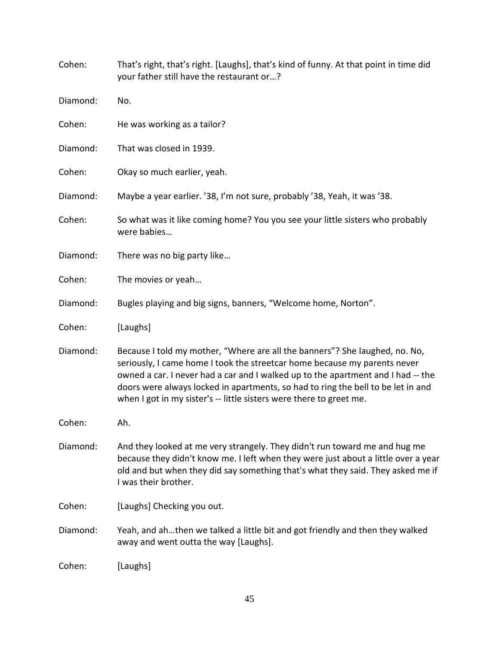| Cohen:   | That's right, that's right. [Laughs], that's kind of funny. At that point in time did<br>your father still have the restaurant or?                                                                                                                                                                                                                                                                      |
|----------|---------------------------------------------------------------------------------------------------------------------------------------------------------------------------------------------------------------------------------------------------------------------------------------------------------------------------------------------------------------------------------------------------------|
| Diamond: | No.                                                                                                                                                                                                                                                                                                                                                                                                     |
| Cohen:   | He was working as a tailor?                                                                                                                                                                                                                                                                                                                                                                             |
| Diamond: | That was closed in 1939.                                                                                                                                                                                                                                                                                                                                                                                |
| Cohen:   | Okay so much earlier, yeah.                                                                                                                                                                                                                                                                                                                                                                             |
| Diamond: | Maybe a year earlier. '38, I'm not sure, probably '38, Yeah, it was '38.                                                                                                                                                                                                                                                                                                                                |
| Cohen:   | So what was it like coming home? You you see your little sisters who probably<br>were babies                                                                                                                                                                                                                                                                                                            |
| Diamond: | There was no big party like                                                                                                                                                                                                                                                                                                                                                                             |
| Cohen:   | The movies or yeah                                                                                                                                                                                                                                                                                                                                                                                      |
| Diamond: | Bugles playing and big signs, banners, "Welcome home, Norton".                                                                                                                                                                                                                                                                                                                                          |
| Cohen:   | [Laughs]                                                                                                                                                                                                                                                                                                                                                                                                |
| Diamond: | Because I told my mother, "Where are all the banners"? She laughed, no. No,<br>seriously, I came home I took the streetcar home because my parents never<br>owned a car. I never had a car and I walked up to the apartment and I had -- the<br>doors were always locked in apartments, so had to ring the bell to be let in and<br>when I got in my sister's -- little sisters were there to greet me. |
| Cohen:   | Ah.                                                                                                                                                                                                                                                                                                                                                                                                     |
| Diamond: | And they looked at me very strangely. They didn't run toward me and hug me<br>because they didn't know me. I left when they were just about a little over a year<br>old and but when they did say something that's what they said. They asked me if<br>I was their brother.                                                                                                                             |
| Cohen:   | [Laughs] Checking you out.                                                                                                                                                                                                                                                                                                                                                                              |
| Diamond: | Yeah, and ahthen we talked a little bit and got friendly and then they walked<br>away and went outta the way [Laughs].                                                                                                                                                                                                                                                                                  |
| Cohen:   | [Laughs]                                                                                                                                                                                                                                                                                                                                                                                                |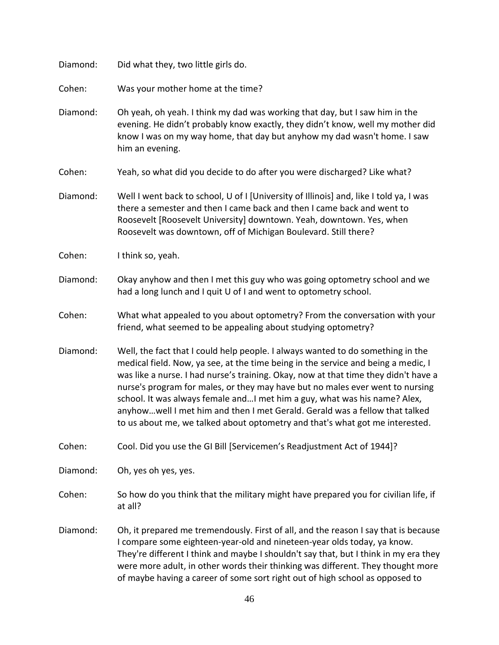Diamond: Did what they, two little girls do. Cohen: Was your mother home at the time? Diamond: Oh yeah, oh yeah. I think my dad was working that day, but I saw him in the evening. He didn't probably know exactly, they didn't know, well my mother did know I was on my way home, that day but anyhow my dad wasn't home. I saw him an evening. Cohen: Yeah, so what did you decide to do after you were discharged? Like what? Diamond: Well I went back to school, U of I [University of Illinois] and, like I told ya, I was there a semester and then I came back and then I came back and went to Roosevelt [Roosevelt University] downtown. Yeah, downtown. Yes, when Roosevelt was downtown, off of Michigan Boulevard. Still there? Cohen: I think so, yeah. Diamond: Okay anyhow and then I met this guy who was going optometry school and we had a long lunch and I quit U of I and went to optometry school. Cohen: What what appealed to you about optometry? From the conversation with your friend, what seemed to be appealing about studying optometry? Diamond: Well, the fact that I could help people. I always wanted to do something in the medical field. Now, ya see, at the time being in the service and being a medic, I was like a nurse. I had nurse's training. Okay, now at that time they didn't have a nurse's program for males, or they may have but no males ever went to nursing school. It was always female and…I met him a guy, what was his name? Alex, anyhow…well I met him and then I met Gerald. Gerald was a fellow that talked to us about me, we talked about optometry and that's what got me interested. Cohen: Cool. Did you use the GI Bill [Servicemen's Readjustment Act of 1944]? Diamond: Oh, yes oh yes, yes. Cohen: So how do you think that the military might have prepared you for civilian life, if at all? Diamond: Oh, it prepared me tremendously. First of all, and the reason I say that is because I compare some eighteen-year-old and nineteen-year olds today, ya know. They're different I think and maybe I shouldn't say that, but I think in my era they were more adult, in other words their thinking was different. They thought more of maybe having a career of some sort right out of high school as opposed to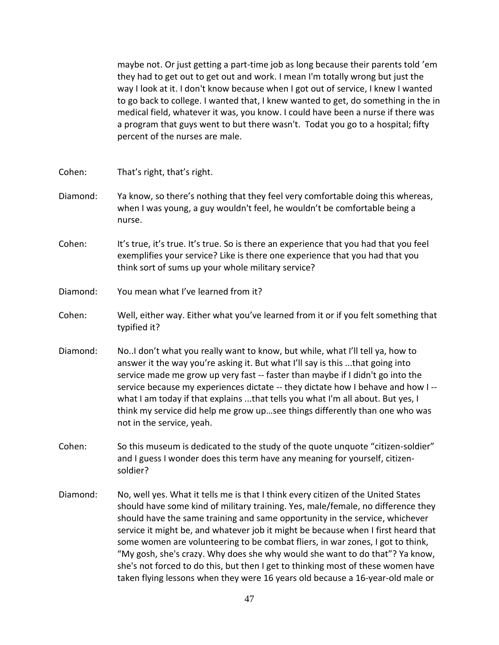maybe not. Or just getting a part-time job as long because their parents told 'em they had to get out to get out and work. I mean I'm totally wrong but just the way I look at it. I don't know because when I got out of service, I knew I wanted to go back to college. I wanted that, I knew wanted to get, do something in the in medical field, whatever it was, you know. I could have been a nurse if there was a program that guys went to but there wasn't. Todat you go to a hospital; fifty percent of the nurses are male.

- Cohen: That's right, that's right.
- Diamond: Ya know, so there's nothing that they feel very comfortable doing this whereas, when I was young, a guy wouldn't feel, he wouldn't be comfortable being a nurse.
- Cohen: It's true, it's true. It's true. So is there an experience that you had that you feel exemplifies your service? Like is there one experience that you had that you think sort of sums up your whole military service?
- Diamond: You mean what I've learned from it?
- Cohen: Well, either way. Either what you've learned from it or if you felt something that typified it?
- Diamond: No..I don't what you really want to know, but while, what I'll tell ya, how to answer it the way you're asking it. But what I'll say is this ...that going into service made me grow up very fast -- faster than maybe if I didn't go into the service because my experiences dictate -- they dictate how I behave and how I - what I am today if that explains ...that tells you what I'm all about. But yes, I think my service did help me grow up…see things differently than one who was not in the service, yeah.
- Cohen: So this museum is dedicated to the study of the quote unquote "citizen-soldier" and I guess I wonder does this term have any meaning for yourself, citizensoldier?
- Diamond: No, well yes. What it tells me is that I think every citizen of the United States should have some kind of military training. Yes, male/female, no difference they should have the same training and same opportunity in the service, whichever service it might be, and whatever job it might be because when I first heard that some women are volunteering to be combat fliers, in war zones, I got to think, "My gosh, she's crazy. Why does she why would she want to do that"? Ya know, she's not forced to do this, but then I get to thinking most of these women have taken flying lessons when they were 16 years old because a 16-year-old male or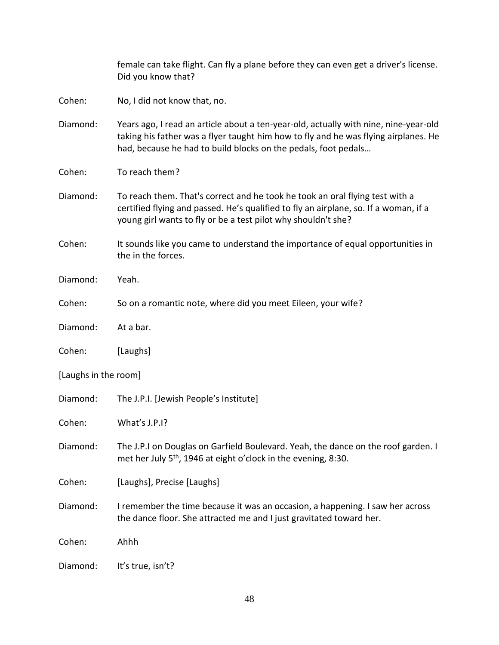female can take flight. Can fly a plane before they can even get a driver's license. Did you know that?

Cohen: No, I did not know that, no.

- Diamond: Years ago, I read an article about a ten-year-old, actually with nine, nine-year-old taking his father was a flyer taught him how to fly and he was flying airplanes. He had, because he had to build blocks on the pedals, foot pedals…
- Cohen: To reach them?
- Diamond: To reach them. That's correct and he took he took an oral flying test with a certified flying and passed. He's qualified to fly an airplane, so. If a woman, if a young girl wants to fly or be a test pilot why shouldn't she?
- Cohen: It sounds like you came to understand the importance of equal opportunities in the in the forces.
- Diamond: Yeah.
- Cohen: So on a romantic note, where did you meet Eileen, your wife?
- Diamond: At a bar.
- Cohen: [Laughs]
- [Laughs in the room]
- Diamond: The J.P.I. [Jewish People's Institute]
- Cohen: What's J.P.I?
- Diamond: The J.P.I on Douglas on Garfield Boulevard. Yeah, the dance on the roof garden. I met her July 5<sup>th</sup>, 1946 at eight o'clock in the evening, 8:30.
- Cohen: [Laughs], Precise [Laughs]
- Diamond: I remember the time because it was an occasion, a happening. I saw her across the dance floor. She attracted me and I just gravitated toward her.

Cohen: Ahhh

Diamond: It's true, isn't?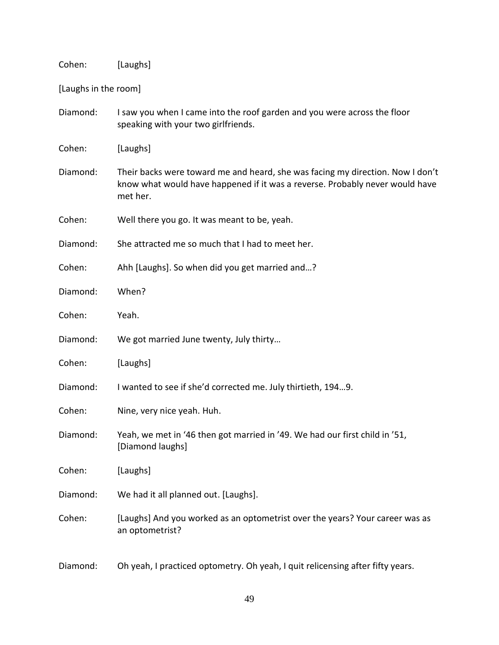Cohen: [Laughs]

[Laughs in the room]

Diamond: I saw you when I came into the roof garden and you were across the floor speaking with your two girlfriends.

Cohen: [Laughs]

Diamond: Their backs were toward me and heard, she was facing my direction. Now I don't know what would have happened if it was a reverse. Probably never would have met her.

Cohen: Well there you go. It was meant to be, yeah.

Diamond: She attracted me so much that I had to meet her.

Cohen: Ahh [Laughs]. So when did you get married and…?

Diamond: When?

Cohen: Yeah.

Diamond: We got married June twenty, July thirty…

Cohen: [Laughs]

Diamond: I wanted to see if she'd corrected me. July thirtieth, 194…9.

Cohen: Nine, very nice yeah. Huh.

Diamond: Yeah, we met in '46 then got married in '49. We had our first child in '51, [Diamond laughs]

Cohen: [Laughs]

Diamond: We had it all planned out. [Laughs].

Cohen: [Laughs] And you worked as an optometrist over the years? Your career was as an optometrist?

Diamond: Oh yeah, I practiced optometry. Oh yeah, I quit relicensing after fifty years.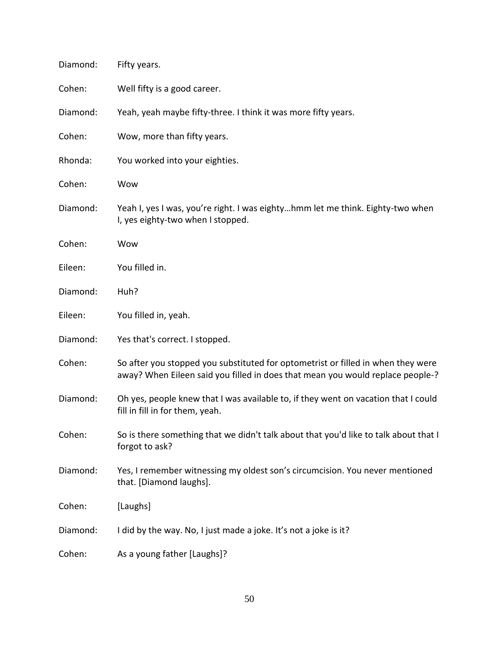| Diamond: | Fifty years.                                                                                                                                                       |
|----------|--------------------------------------------------------------------------------------------------------------------------------------------------------------------|
| Cohen:   | Well fifty is a good career.                                                                                                                                       |
| Diamond: | Yeah, yeah maybe fifty-three. I think it was more fifty years.                                                                                                     |
| Cohen:   | Wow, more than fifty years.                                                                                                                                        |
| Rhonda:  | You worked into your eighties.                                                                                                                                     |
| Cohen:   | Wow                                                                                                                                                                |
| Diamond: | Yeah I, yes I was, you're right. I was eightyhmm let me think. Eighty-two when<br>I, yes eighty-two when I stopped.                                                |
| Cohen:   | Wow                                                                                                                                                                |
| Eileen:  | You filled in.                                                                                                                                                     |
| Diamond: | Huh?                                                                                                                                                               |
| Eileen:  | You filled in, yeah.                                                                                                                                               |
| Diamond: | Yes that's correct. I stopped.                                                                                                                                     |
| Cohen:   | So after you stopped you substituted for optometrist or filled in when they were<br>away? When Eileen said you filled in does that mean you would replace people-? |
| Diamond: | Oh yes, people knew that I was available to, if they went on vacation that I could<br>fill in fill in for them, yeah.                                              |
| Cohen:   | So is there something that we didn't talk about that you'd like to talk about that I<br>forgot to ask?                                                             |
| Diamond: | Yes, I remember witnessing my oldest son's circumcision. You never mentioned<br>that. [Diamond laughs].                                                            |
| Cohen:   | [Laughs]                                                                                                                                                           |
| Diamond: | I did by the way. No, I just made a joke. It's not a joke is it?                                                                                                   |
| Cohen:   | As a young father [Laughs]?                                                                                                                                        |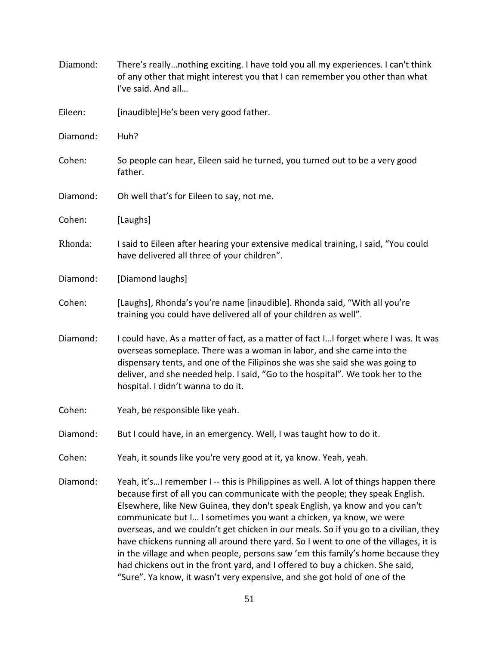| Diamond: | There's reallynothing exciting. I have told you all my experiences. I can't think<br>of any other that might interest you that I can remember you other than what<br>I've said. And all                                                                                                                                                                                                                                                                                                                                                                                                                                                                                                                                                                    |
|----------|------------------------------------------------------------------------------------------------------------------------------------------------------------------------------------------------------------------------------------------------------------------------------------------------------------------------------------------------------------------------------------------------------------------------------------------------------------------------------------------------------------------------------------------------------------------------------------------------------------------------------------------------------------------------------------------------------------------------------------------------------------|
| Eileen:  | [inaudible]He's been very good father.                                                                                                                                                                                                                                                                                                                                                                                                                                                                                                                                                                                                                                                                                                                     |
| Diamond: | Huh?                                                                                                                                                                                                                                                                                                                                                                                                                                                                                                                                                                                                                                                                                                                                                       |
| Cohen:   | So people can hear, Eileen said he turned, you turned out to be a very good<br>father.                                                                                                                                                                                                                                                                                                                                                                                                                                                                                                                                                                                                                                                                     |
| Diamond: | Oh well that's for Eileen to say, not me.                                                                                                                                                                                                                                                                                                                                                                                                                                                                                                                                                                                                                                                                                                                  |
| Cohen:   | [Laughs]                                                                                                                                                                                                                                                                                                                                                                                                                                                                                                                                                                                                                                                                                                                                                   |
| Rhonda:  | I said to Eileen after hearing your extensive medical training, I said, "You could<br>have delivered all three of your children".                                                                                                                                                                                                                                                                                                                                                                                                                                                                                                                                                                                                                          |
| Diamond: | [Diamond laughs]                                                                                                                                                                                                                                                                                                                                                                                                                                                                                                                                                                                                                                                                                                                                           |
| Cohen:   | [Laughs], Rhonda's you're name [inaudible]. Rhonda said, "With all you're<br>training you could have delivered all of your children as well".                                                                                                                                                                                                                                                                                                                                                                                                                                                                                                                                                                                                              |
| Diamond: | I could have. As a matter of fact, as a matter of fact II forget where I was. It was<br>overseas someplace. There was a woman in labor, and she came into the<br>dispensary tents, and one of the Filipinos she was she said she was going to<br>deliver, and she needed help. I said, "Go to the hospital". We took her to the<br>hospital. I didn't wanna to do it.                                                                                                                                                                                                                                                                                                                                                                                      |
| Cohen:   | Yeah, be responsible like yeah.                                                                                                                                                                                                                                                                                                                                                                                                                                                                                                                                                                                                                                                                                                                            |
| Diamond: | But I could have, in an emergency. Well, I was taught how to do it.                                                                                                                                                                                                                                                                                                                                                                                                                                                                                                                                                                                                                                                                                        |
| Cohen:   | Yeah, it sounds like you're very good at it, ya know. Yeah, yeah.                                                                                                                                                                                                                                                                                                                                                                                                                                                                                                                                                                                                                                                                                          |
| Diamond: | Yeah, it'sI remember I -- this is Philippines as well. A lot of things happen there<br>because first of all you can communicate with the people; they speak English.<br>Elsewhere, like New Guinea, they don't speak English, ya know and you can't<br>communicate but I I sometimes you want a chicken, ya know, we were<br>overseas, and we couldn't get chicken in our meals. So if you go to a civilian, they<br>have chickens running all around there yard. So I went to one of the villages, it is<br>in the village and when people, persons saw 'em this family's home because they<br>had chickens out in the front yard, and I offered to buy a chicken. She said,<br>"Sure". Ya know, it wasn't very expensive, and she got hold of one of the |